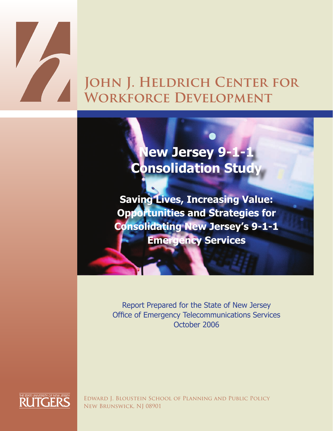# JOHN J. HELDRICH CENTER FOR **Workforce Development**

**New Jersey 9-1-1 Consolidation Study** 

**Saving Lives, Increasing Value: Opportunities and Strategies for Consolidating New Jersey's 9-1-1 Emergency Services**

Report Prepared for the State of New Jersey Office of Emergency Telecommunications Services October 2006



Edward J. Bloustein School of Planning and Public Policy New Brunswick, NJ 08901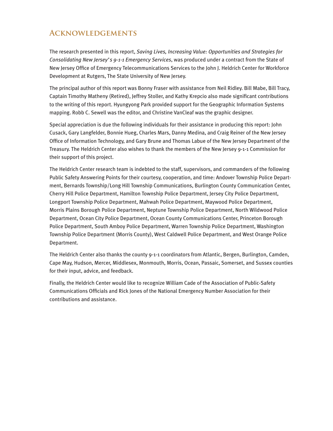# **Acknowledgements**

The research presented in this report, *Saving Lives, Increasing Value: Opportunities and Strategies for Consolidating New Jersey's 9-1-1 Emergency Services*, was produced under a contract from the State of New Jersey Office of Emergency Telecommunications Services to the John J. Heldrich Center for Workforce Development at Rutgers, The State University of New Jersey.

The principal author of this report was Bonny Fraser with assistance from Neil Ridley. Bill Mabe, Bill Tracy, Captain Timothy Matheny (Retired), Jeffrey Stoller, and Kathy Krepcio also made significant contributions to the writing of this report. Hyungyong Park provided support for the Geographic Information Systems mapping. Robb C. Sewell was the editor, and Christine VanCleaf was the graphic designer.

Special appreciation is due the following individuals for their assistance in producing this report: John Cusack, Gary Langfelder, Bonnie Hueg, Charles Mars, Danny Medina, and Craig Reiner of the New Jersey Office of Information Technology, and Gary Brune and Thomas Labue of the New Jersey Department of the Treasury. The Heldrich Center also wishes to thank the members of the New Jersey 9-1-1 Commission for their support of this project.

The Heldrich Center research team is indebted to the staff, supervisors, and commanders of the following Public Safety Answering Points for their courtesy, cooperation, and time: Andover Township Police Department, Bernards Township/Long Hill Township Communications, Burlington County Communication Center, Cherry Hill Police Department, Hamilton Township Police Department, Jersey City Police Department, Longport Township Police Department, Mahwah Police Department, Maywood Police Department, Morris Plains Borough Police Department, Neptune Township Police Department, North Wildwood Police Department, Ocean City Police Department, Ocean County Communications Center, Princeton Borough Police Department, South Amboy Police Department, Warren Township Police Department, Washington Township Police Department (Morris County), West Caldwell Police Department, and West Orange Police Department.

The Heldrich Center also thanks the county 9-1-1 coordinators from Atlantic, Bergen, Burlington, Camden, Cape May, Hudson, Mercer, Middlesex, Monmouth, Morris, Ocean, Passaic, Somerset, and Sussex counties for their input, advice, and feedback.

Finally, the Heldrich Center would like to recognize William Cade of the Association of Public-Safety Communications Officials and Rick Jones of the National Emergency Number Association for their contributions and assistance.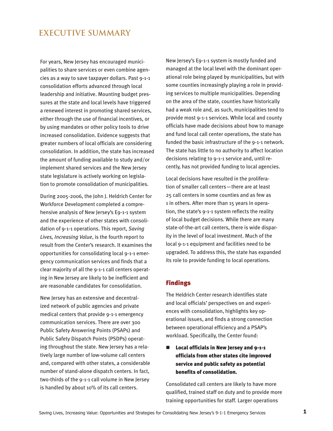# **EXECUTIVE SUMMARY**

For years, New Jersey has encouraged municipalities to share services or even combine agencies as a way to save taxpayer dollars. Past 9-1-1 consolidation efforts advanced through local leadership and initiative. Mounting budget pressures at the state and local levels have triggered a renewed interest in promoting shared services, either through the use of financial incentives, or by using mandates or other policy tools to drive increased consolidation. Evidence suggests that greater numbers of local officials are considering consolidation. In addition, the state has increased the amount of funding available to study and/or implement shared services and the New Jersey state legislature is actively working on legislation to promote consolidation of municipalities.

During 2005-2006, the John J. Heldrich Center for Workforce Development completed a comprehensive analysis of New Jersey's E9-1-1 system and the experience of other states with consolidation of 9-1-1 operations. This report, *Saving Lives, Increasing Value*, is the fourth report to result from the Center's research. It examines the opportunities for consolidating local 9-1-1 emergency communication services and finds that a clear majority of all the 9-1-1 call centers operating in New Jersey are likely to be inefficient and are reasonable candidates for consolidation.

New Jersey has an extensive and decentralized network of public agencies and private medical centers that provide 9-1-1 emergency communication services. There are over 300 Public Safety Answering Points (PSAPs) and Public Safety Dispatch Points (PSDPs) operating throughout the state. New Jersey has a relatively large number of low-volume call centers and, compared with other states, a considerable number of stand-alone dispatch centers. In fact, two-thirds of the 9-1-1 call volume in New Jersey is handled by about 10% of its call centers.

New Jersey's E9-1-1 system is mostly funded and managed at the local level with the dominant operational role being played by municipalities, but with some counties increasingly playing a role in providing services to multiple municipalities. Depending on the area of the state, counties have historically had a weak role and, as such, municipalities tend to provide most 9-1-1 services. While local and county officials have made decisions about how to manage and fund local call center operations, the state has funded the basic infrastructure of the 9-1-1 network. The state has little to no authority to affect location decisions relating to 9-1-1 service and, until recently, has not provided funding to local agencies.

Local decisions have resulted in the proliferation of smaller call centers—there are at least 25 call centers in some counties and as few as 1 in others. After more than 15 years in operation, the state's 9-1-1 system reflects the reality of local budget decisions. While there are many state-of-the-art call centers, there is wide disparity in the level of local investment. Much of the local 9-1-1 equipment and facilities need to be upgraded. To address this, the state has expanded its role to provide funding to local operations.

#### Findings

The Heldrich Center research identifies state and local officials' perspectives on and experiences with consolidation, highlights key operational issues, and finds a strong connection between operational efficiency and a PSAP's workload. Specifically, the Center found:

 $\blacksquare$  Local officials in New Jersey and 9-1-1 officials from other states cite improved service and public safety as potential benefits of consolidation.

Consolidated call centers are likely to have more qualified, trained staff on duty and to provide more training opportunities for staff. Larger operations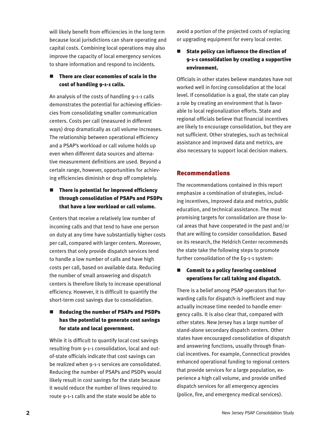will likely benefit from efficiencies in the long term because local jurisdictions can share operating and capital costs. Combining local operations may also improve the capacity of local emergency services to share information and respond to incidents.

#### $\blacksquare$  There are clear economies of scale in the cost of handling 9-1-1 calls.

An analysis of the costs of handling 9-1-1 calls demonstrates the potential for achieving efficiencies from consolidating smaller communication centers. Costs per call (measured in different ways) drop dramatically as call volume increases. The relationship between operational efficiency and a PSAP's workload or call volume holds up even when different data sources and alternative measurement definitions are used. Beyond a certain range, however, opportunities for achieving efficiencies diminish or drop off completely.

# $\blacksquare$  There is potential for improved efficiency through consolidation of PSAPs and PSDPs that have a low workload or call volume.

Centers that receive a relatively low number of incoming calls and that tend to have one person on duty at any time have substantially higher costs per call, compared with larger centers. Moreover, centers that only provide dispatch services tend to handle a low number of calls and have high costs per call, based on available data. Reducing the number of small answering and dispatch centers is therefore likely to increase operational efficiency. However, it is difficult to quantify the short-term cost savings due to consolidation.

### ■ Reducing the number of PSAPs and PSDPs has the potential to generate cost savings for state and local government.

While it is difficult to quantify local cost savings resulting from 9-1-1 consolidation, local and outof-state officials indicate that cost savings can be realized when 9-1-1 services are consolidated. Reducing the number of PSAPs and PSDPs would likely result in cost savings for the state because it would reduce the number of lines required to route 9-1-1 calls and the state would be able to

avoid a portion of the projected costs of replacing or upgrading equipment for every local center.

State policy can influence the direction of 9-1-1 consolidation by creating a supportive environment.

Officials in other states believe mandates have not worked well in forcing consolidation at the local level. If consolidation is a goal, the state can play a role by creating an environment that is favorable to local regionalization efforts. State and regional officials believe that financial incentives are likely to encourage consolidation, but they are not sufficient. Other strategies, such as technical assistance and improved data and metrics, are also necessary to support local decision makers.

## Recommendations

The recommendations contained in this report emphasize a combination of strategies, including incentives, improved data and metrics, public education, and technical assistance. The most promising targets for consolidation are those local areas that have cooperated in the past and/or that are willing to consider consolidation. Based on its research, the Heldrich Center recommends the state take the following steps to promote further consolidation of the E9-1-1 system:

## $\blacksquare$  Commit to a policy favoring combined operations for call taking and dispatch.

There is a belief among PSAP operators that forwarding calls for dispatch is inefficient and may actually increase time needed to handle emergency calls. It is also clear that, compared with other states. New Jersey has a large number of stand-alone secondary dispatch centers. Other states have encouraged consolidation of dispatch and answering functions, usually through financial incentives. For example, Connecticut provides enhanced operational funding to regional centers that provide services for a large population, experience a high call volume, and provide unified dispatch services for all emergency agencies (police, fire, and emergency medical services).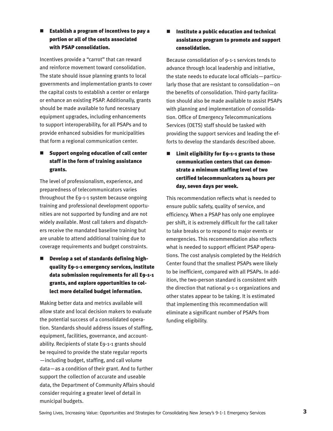## $\blacksquare$  Establish a program of incentives to pay a portion or all of the costs associated with PSAP consolidation.

Incentives provide a "carrot" that can reward and reinforce movement toward consolidation. The state should issue planning grants to local governments and implementation grants to cover the capital costs to establish a center or enlarge or enhance an existing PSAP. Additionally, grants should be made available to fund necessary equipment upgrades, including enhancements to support interoperability, for all PSAPs and to provide enhanced subsidies for municipalities that form a regional communication center.

# Support ongoing education of call center staff in the form of training assistance grants.

The level of professionalism, experience, and preparedness of telecommunicators varies throughout the E9-1-1 system because ongoing training and professional development opportunities are not supported by funding and are not widely available. Most call takers and dispatchers receive the mandated baseline training but are unable to attend additional training due to coverage requirements and budget constraints.

# $\blacksquare$  Develop a set of standards defining highquality E9-1-1 emergency services, institute data submission requirements for all E9-1-1 grants, and explore opportunities to collect more detailed budget information.

Making better data and metrics available will allow state and local decision makers to evaluate the potential success of a consolidated operation. Standards should address issues of staffing, equipment, facilities, governance, and accountability. Recipients of state E9-1-1 grants should be required to provide the state regular reports —including budget, staffing, and call volume data—as a condition of their grant. And to further support the collection of accurate and useable data, the Department of Community Affairs should consider requiring a greater level of detail in municipal budgets.

## $\blacksquare$  Institute a public education and technical assistance program to promote and support consolidation.

Because consolidation of 9-1-1 services tends to advance through local leadership and initiative, the state needs to educate local officials—particularly those that are resistant to consolidation—on the benefits of consolidation. Third-party facilitation should also be made available to assist PSAPs with planning and implementation of consolidation. Office of Emergency Telecommunications Services (OETS) staff should be tasked with providing the support services and leading the efforts to develop the standards described above.

 $\blacksquare$  Limit eligibility for E9-1-1 grants to those communication centers that can demonstrate a minimum staffing level of two certified telecommunicators 24 hours per day, seven days per week.

This recommendation reflects what is needed to ensure public safety, quality of service, and efficiency. When a PSAP has only one employee per shift, it is extremely difficult for the call taker to take breaks or to respond to major events or emergencies. This recommendation also reflects what is needed to support efficient PSAP operations. The cost analysis completed by the Heldrich Center found that the smallest PSAPs were likely to be inefficient, compared with all PSAPs. In addition, the two-person standard is consistent with the direction that national 9-1-1 organizations and other states appear to be taking. It is estimated that implementing this recommendation will eliminate a significant number of PSAPs from funding eligibility.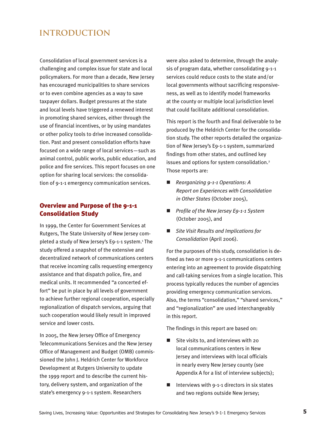# **INTRODUCTION**

Consolidation of local government services is a challenging and complex issue for state and local policymakers. For more than a decade, New Jersey has encouraged municipalities to share services or to even combine agencies as a way to save taxpayer dollars. Budget pressures at the state and local levels have triggered a renewed interest in promoting shared services, either through the use of financial incentives, or by using mandates or other policy tools to drive increased consolidation. Past and present consolidation efforts have focused on a wide range of local services—such as animal control, public works, public education, and police and fire services. This report focuses on one option for sharing local services: the consolidation of 9-1-1 emergency communication services.

#### Overview and Purpose of the 9-1-1 Consolidation Study

In 1999, the Center for Government Services at Rutgers, The State University of New Jersey completed a study of New Jersey's E9-1-1 system.<sup>1</sup> The study offered a snapshot of the extensive and decentralized network of communications centers that receive incoming calls requesting emergency assistance and that dispatch police, fire, and medical units. It recommended "a concerted effort" be put in place by all levels of government to achieve further regional cooperation, especially regionalization of dispatch services, arguing that such cooperation would likely result in improved service and lower costs.

In 2005, the New Jersey Office of Emergency Telecommunications Services and the New Jersey Office of Management and Budget (OMB) commissioned the John J. Heldrich Center for Workforce Development at Rutgers University to update the 1999 report and to describe the current history, delivery system, and organization of the state's emergency 9-1-1 system. Researchers

were also asked to determine, through the analysis of program data, whether consolidating 9-1-1 services could reduce costs to the state and/or local governments without sacrificing responsiveness, as well as to identify model frameworks at the county or multiple local jurisdiction level that could facilitate additional consolidation.

This report is the fourth and final deliverable to be produced by the Heldrich Center for the consolidation study. The other reports detailed the organization of New Jersey's E9-1-1 system, summarized findings from other states, and outlined key issues and options for system consolidation.<sup>2</sup> Those reports are:

- *Reorganizing 9-1-1 Operations: A Report on Experiences with Consolidation in Other States* (October 2005),
- *Profile of the New Jersey E9-1-1 System* (October 2005), and
- Site Visit Results and Implications for *Consolidation* (April 2006).

For the purposes of this study, consolidation is defined as two or more 9-1-1 communications centers entering into an agreement to provide dispatching and call-taking services from a single location. This process typically reduces the number of agencies providing emergency communication services. Also, the terms "consolidation," "shared services," and "regionalization" are used interchangeably in this report.

The findings in this report are based on:

- $\blacksquare$  Site visits to, and interviews with 20 local communications centers in New Jersey and interviews with local officials in nearly every New Jersey county (see Appendix A for a list of interview subjects);
- $\blacksquare$  Interviews with 9-1-1 directors in six states and two regions outside New Jersey;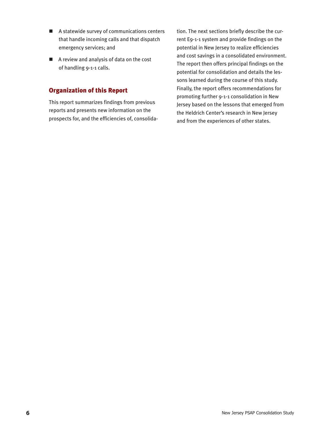- $\blacksquare$  A statewide survey of communications centers that handle incoming calls and that dispatch emergency services; and
- $\blacksquare$  A review and analysis of data on the cost of handling 9-1-1 calls.

# Organization of this Report

This report summarizes findings from previous reports and presents new information on the prospects for, and the efficiencies of, consolidation. The next sections briefly describe the current E9-1-1 system and provide findings on the potential in New Jersey to realize efficiencies and cost savings in a consolidated environment. The report then offers principal findings on the potential for consolidation and details the lessons learned during the course of this study. Finally, the report offers recommendations for promoting further 9-1-1 consolidation in New Jersey based on the lessons that emerged from the Heldrich Center's research in New Jersey and from the experiences of other states.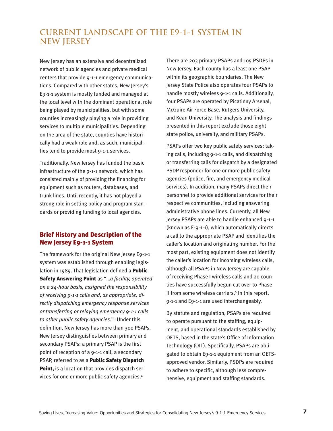# **CURRENT LANDSCAPE OF THE E9-1-1 SYSTEM IN NEW JERSEY**

New Jersey has an extensive and decentralized network of public agencies and private medical centers that provide 9-1-1 emergency communications. Compared with other states, New Jersey's E9-1-1 system is mostly funded and managed at the local level with the dominant operational role being played by municipalities, but with some counties increasingly playing a role in providing services to multiple municipalities. Depending on the area of the state, counties have historically had a weak role and, as such, municipalities tend to provide most 9-1-1 services.

Traditionally, New Jersey has funded the basic infrastructure of the 9-1-1 network, which has consisted mainly of providing the financing for equipment such as routers, databases, and trunk lines. Until recently, it has not played a strong role in setting policy and program standards or providing funding to local agencies.

# Brief History and Description of the New Jersey E9-1-1 System

The framework for the original New Jersey E9-1-1 system was established through enabling legislation in 1989. That legislation defined a **Public** Safety Answering Point as "…*a facility, operated on a 24-hour basis, assigned the responsibility of receiving 9-1-1 calls and, as appropriate, directly dispatching emergency response services or transferring or relaying emergency 9-1-1 calls to other public safety agencies.*"3 Under this definition, New Jersey has more than 300 PSAPs. New Jersey distinguishes between primary and secondary PSAPs: a primary PSAP is the first point of reception of a 9-1-1 call; a secondary PSAP, referred to as a Public Safety Dispatch Point, is a location that provides dispatch services for one or more public safety agencies.4

There are 203 primary PSAPs and 105 PSDPs in New Jersey. Each county has a least one PSAP within its geographic boundaries. The New Jersey State Police also operates four PSAPs to handle mostly wireless 9-1-1 calls. Additionally, four PSAPs are operated by Picatinny Arsenal, McGuire Air Force Base, Rutgers University, and Kean University. The analysis and findings presented in this report exclude those eight state police, university, and military PSAPs.

PSAPs offer two key public safety services: taking calls, including 9-1-1 calls, and dispatching or transferring calls for dispatch by a designated PSDP responder for one or more public safety agencies (police, fire, and emergency medical services). In addition, many PSAPs direct their personnel to provide additional services for their respective communities, including answering administrative phone lines. Currently, all New Jersey PSAPs are able to handle enhanced 9-1-1 (known as E-9-1-1), which automatically directs a call to the appropriate PSAP and identifies the caller's location and originating number. For the most part, existing equipment does not identify the caller's location for incoming wireless calls, although all PSAPs in New Jersey are capable of receiving Phase I wireless calls and 20 counties have successfully begun cut over to Phase II from some wireless carriers.<sup>5</sup> In this report, 9-1-1 and E9-1-1 are used interchangeably.

By statute and regulation, PSAPs are required to operate pursuant to the staffing, equipment, and operational standards established by OETS, based in the state's Office of Information Technology (OIT). Specifically, PSAPs are obligated to obtain E9-1-1 equipment from an OETSapproved vendor. Similarly, PSDPs are required to adhere to specific, although less comprehensive, equipment and staffing standards.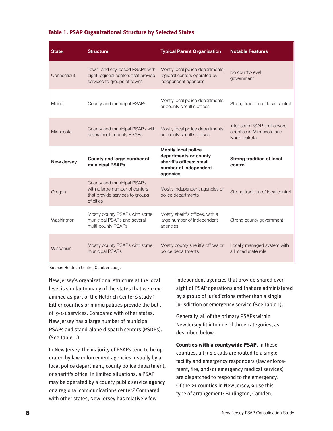#### Table 1. PSAP Organizational Structure by Selected States

| <b>State</b>      | <b>Structure</b>                                                                                             | <b>Typical Parent Organization</b>                                                                                   | <b>Notable Features</b>                                                   |
|-------------------|--------------------------------------------------------------------------------------------------------------|----------------------------------------------------------------------------------------------------------------------|---------------------------------------------------------------------------|
| Connecticut       | Town- and city-based PSAPs with<br>eight regional centers that provide<br>services to groups of towns        | Mostly local police departments;<br>regional centers operated by<br>independent agencies                             | No county-level<br>government                                             |
| Maine             | County and municipal PSAPs                                                                                   | Mostly local police departments<br>or county sheriff's offices                                                       | Strong tradition of local control                                         |
| Minnesota         | County and municipal PSAPs with<br>several multi-county PSAPs                                                | Mostly local police departments<br>or county sheriff's offices                                                       | Inter-state PSAP that covers<br>counties in Minnesota and<br>North Dakota |
| <b>New Jersey</b> | County and large number of<br>municipal PSAPs                                                                | <b>Mostly local police</b><br>departments or county<br>sheriff's offices; small<br>number of independent<br>agencies | <b>Strong tradition of local</b><br>control                               |
| Oregon            | County and municipal PSAPs<br>with a large number of centers<br>that provide services to groups<br>of cities | Mostly independent agencies or<br>police departments                                                                 | Strong tradition of local control                                         |
| Washington        | Mostly county PSAPs with some<br>municipal PSAPs and several<br>multi-county PSAPs                           | Mostly sheriff's offices, with a<br>large number of independent<br>agencies                                          | Strong county government                                                  |
| Wisconsin         | Mostly county PSAPs with some                                                                                | Mostly county sheriff's offices or                                                                                   | Locally managed system with                                               |

Source: Heldrich Center, October 2005.

New Jersey's organizational structure at the local level is similar to many of the states that were examined as part of the Heldrich Center's study.6 Either counties or municipalities provide the bulk of 9-1-1 services. Compared with other states, New Jersey has a large number of municipal PSAPs and stand-alone dispatch centers (PSDPs). (See Table 1.)

In New Jersey, the majority of PSAPs tend to be operated by law enforcement agencies, usually by a local police department, county police department, or sheriff's office. In limited situations, a PSAP may be operated by a county public service agency or a regional communications center.7 Compared with other states, New Jersey has relatively few

independent agencies that provide shared oversight of PSAP operations and that are administered by a group of jurisdictions rather than a single jurisdiction or emergency service (See Table 1).

Generally, all of the primary PSAPs within New Jersey fit into one of three categories, as described below.

Counties with a countywide PSAP. In these counties, all 9-1-1 calls are routed to a single facility and emergency responders (law enforcement, fire, and/or emergency medical services) are dispatched to respond to the emergency. Of the 21 counties in New Jersey, 9 use this type of arrangement: Burlington, Camden,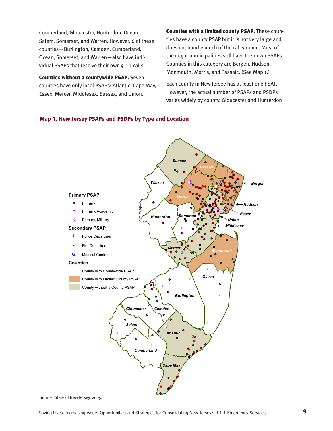Cumberland, Gloucester, Hunterdon, Ocean, Salem, Somerset, and Warren. However, 6 of these counties—Burlington, Camden, Cumberland, Ocean, Somerset, and Warren—also have individual PSAPs that receive their own 9-1-1 calls.

Counties without a countywide PSAP. Seven counties have only local PSAPs: Atlantic, Cape May, Essex, Mercer, Middlesex, Sussex, and Union.

Counties with a limited county PSAP. These counties have a county PSAP but it is not very large and does not handle much of the call volume. Most of the major municipalities still have their own PSAPs. Counties in this category are Bergen, Hudson, Monmouth, Morris, and Passaic. (See Map 1.)

Each county in New Jersey has at least one PSAP. However, the actual number of PSAPs and PSDPs varies widely by county. Gloucester and Hunterdon

#### Map 1. New Jersey PSAPs and PSDPs by Type and Location



Source: State of New Jersey, 2005.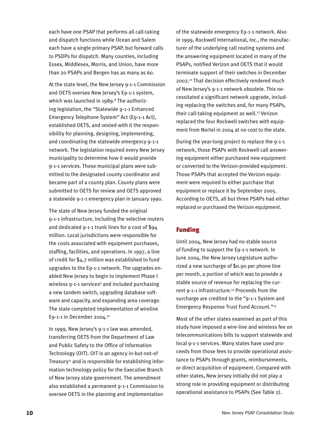each have one PSAP that performs all call-taking and dispatch functions while Ocean and Salem each have a single primary PSAP, but forward calls to PSDPs for dispatch. Many counties, including Essex, Middlesex, Morris, and Union, have more than 20 PSAPs and Bergen has as many as 60.

At the state level, the New Jersey 9-1-1 Commission and OETS oversee New Jersey's E9-1-1 system, which was launched in 1989.<sup>8</sup> The authorizing legislation, the "Statewide 9-1-1 Enhanced Emergency Telephone System" Act (E9-1-1 Act), established OETS, and vested with it the responsibility for planning, designing, implementing, and coordinating the statewide emergency 9-1-1 network. The legislation required every New Jersey municipality to determine how it would provide 9-1-1 services. Those municipal plans were submitted to the designated county coordinator and became part of a county plan. County plans were submitted to OETS for review and OETS approved a statewide 9-1-1 emergency plan in January 1990.

The state of New Jersey funded the original 9-1-1 infrastructure, including the selective routers and dedicated 9-1-1 trunk lines for a cost of \$94 million. Local jurisdictions were responsible for the costs associated with equipment purchases, staffing, facilities, and operations. In 1997, a line of credit for \$4.7 million was established to fund upgrades to the E9-1-1 network. The upgrades enabled New Jersey to begin to implement Phase I wireless 9-1-1 services<sup>9</sup> and included purchasing a new tandem switch, upgrading database software and capacity, and expanding area coverage. The state completed implementation of wireline E9-1-1 in December 2004.10

In 1999, New Jersey's 9-1-1 law was amended, transferring OETS from the Department of Law and Public Safety to the Office of Information Technology (OIT). OIT is an agency in-but-not-of Treasury<sup>11</sup> and is responsible for establishing information technology policy for the Executive Branch of New Jersey state government. The amendment also established a permanent 9-1-1 Commission to oversee OETS in the planning and implementation

of the statewide emergency E9-1-1 network. Also in 1999, Rockwell International, Inc., the manufacturer of the underlying call routing systems and the answering equipment located in many of the PSAPs, notified Verizon and OETS that it would terminate support of their switches in December 2002.12 That decision effectively rendered much of New Jersey's 9-1-1 network obsolete. This necessitated a significant network upgrade, including replacing the switches and, for many PSAPs, their call-taking equipment as well.<sup>13</sup> Verizon replaced the four Rockwell switches with equipment from Nortel in 2004 at no cost to the state.

During the year-long project to replace the 9-1-1 network, those PSAPs with Rockwell call answering equipment either purchased new equipment or converted to the Verizon-provided equipment. Those PSAPs that accepted the Verizon equipment were required to either purchase that equipment or replace it by September 2005. According to OETS, all but three PSAPs had either replaced or purchased the Verizon equipment.

## Funding

Until 2004, New Jersey had no stable source of funding to support the E9-1-1 network. In June 2004, the New Jersey Legislature authorized a new surcharge of \$0.90 per phone line per month, a portion of which was to provide a stable source of revenue for replacing the current 9-1-1 infrastructure.<sup>14</sup> Proceeds from the surcharge are credited to the "9-1-1 System and Emergency Response Trust Fund Account."15

Most of the other states examined as part of this study have imposed a wire-line and wireless fee on telecommunications bills to support statewide and local 9-1-1 services. Many states have used proceeds from those fees to provide operational assistance to PSAPs through grants, reimbursements, or direct acquisition of equipment. Compared with other states, New Jersey initially did not play a strong role in providing equipment or distributing operational assistance to PSAPs (See Table 2).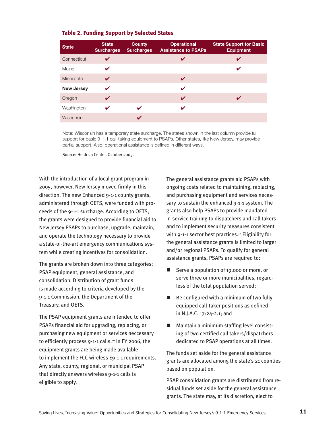|  |  | <b>Table 2. Funding Support by Selected States</b> |  |  |  |  |
|--|--|----------------------------------------------------|--|--|--|--|
|--|--|----------------------------------------------------|--|--|--|--|

| <b>State</b>      | <b>State</b><br><b>Surcharges</b>                                                                                                                                                                                                                                                      | <b>County</b><br><b>Surcharges</b> | <b>Operational</b><br><b>Assistance to PSAPs</b> | <b>State Support for Basic</b><br><b>Equipment</b> |  |  |  |  |  |  |
|-------------------|----------------------------------------------------------------------------------------------------------------------------------------------------------------------------------------------------------------------------------------------------------------------------------------|------------------------------------|--------------------------------------------------|----------------------------------------------------|--|--|--|--|--|--|
| Connecticut       | V                                                                                                                                                                                                                                                                                      |                                    | V                                                | V                                                  |  |  |  |  |  |  |
| Maine             |                                                                                                                                                                                                                                                                                        |                                    |                                                  | v                                                  |  |  |  |  |  |  |
| Minnesota         | V                                                                                                                                                                                                                                                                                      |                                    | V                                                |                                                    |  |  |  |  |  |  |
| <b>New Jersey</b> | V                                                                                                                                                                                                                                                                                      |                                    | V                                                |                                                    |  |  |  |  |  |  |
| Oregon            | ✓                                                                                                                                                                                                                                                                                      |                                    | V                                                | V                                                  |  |  |  |  |  |  |
| Washington        |                                                                                                                                                                                                                                                                                        | ✔                                  | V                                                |                                                    |  |  |  |  |  |  |
| Wisconsin         |                                                                                                                                                                                                                                                                                        | ✓                                  |                                                  |                                                    |  |  |  |  |  |  |
|                   | Note: Wisconsin has a temporary state surcharge. The states shown in the last column provide full<br>support for basic 9-1-1 call-taking equipment to PSAPs. Other states, like New Jersey, may provide<br>partial support. Also, operational assistance is defined in different ways. |                                    |                                                  |                                                    |  |  |  |  |  |  |

Source: Heldrich Center, October 2005.

With the introduction of a local grant program in 2005, however, New Jersey moved firmly in this direction. The new Enhanced 9-1-1 county grants, administered through OETS, were funded with proceeds of the 9-1-1 surcharge. According to OETS, the grants were designed to provide financial aid to New Jersey PSAPs to purchase, upgrade, maintain, and operate the technology necessary to provide a state-of-the-art emergency communications system while creating incentives for consolidation.

The grants are broken down into three categories: PSAP equipment, general assistance, and consolidation. Distribution of grant funds is made according to criteria developed by the 9-1-1 Commission, the Department of the Treasury, and OETS.

The PSAP equipment grants are intended to offer PSAPs financial aid for upgrading, replacing, or purchasing new equipment or services neccessary to efficiently process 9-1-1 calls.<sup>16</sup> In FY 2006, the equipment grants are being made available to implement the FCC wireless E9-1-1 requirements. Any state, county, regional, or municipal PSAP that directly answers wireless 9-1-1 calls is eligible to apply.

The general assistance grants aid PSAPs with ongoing costs related to maintaining, replacing, and purchasing equipment and services necessary to sustain the enhanced 9-1-1 system. The grants also help PSAPs to provide mandated in-service training to dispatchers and call takers and to implement security measures consistent with 9-1-1 sector best practices.<sup>17</sup> Eligibility for the general assistance grants is limited to larger and/or regional PSAPs. To qualify for general assistance grants, PSAPs are required to:

- Serve a population of 19,000 or more, or serve three or more municipalities, regardless of the total population served;
- $\blacksquare$  Be configured with a minimum of two fully equipped call-taker positions as defined in N.J.A.C. 17:24-2.1; and
- $\blacksquare$  Maintain a minimum staffing level consisting of two certified call takers/dispatchers dedicated to PSAP operations at all times.

The funds set aside for the general assistance grants are allocated among the state's 21 counties based on population.

PSAP consolidation grants are distributed from residual funds set aside for the general assistance grants. The state may, at its discretion, elect to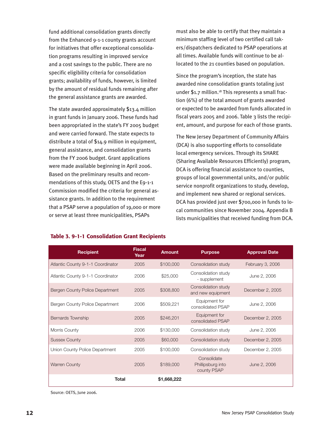fund additional consolidation grants directly from the Enhanced 9-1-1 county grants account for initiatives that offer exceptional consolidation programs resulting in improved service and a cost savings to the public. There are no specific eligibility criteria for consolidation grants; availability of funds, however, is limited by the amount of residual funds remaining after the general assistance grants are awarded.

The state awarded approximately \$13.4 million in grant funds in January 2006. These funds had been appropriated in the state's FY 2005 budget and were carried forward. The state expects to distribute a total of \$14.9 million in equipment, general assistance, and consolidation grants from the FY 2006 budget. Grant applications were made available beginning in April 2006. Based on the preliminary results and recommendations of this study, OETS and the E9-1-1 Commission modified the criteria for general assistance grants. In addition to the requirement that a PSAP serve a population of 19,000 or more or serve at least three municipalities, PSAPs

must also be able to certify that they maintain a minimum staffing level of two certified call takers/dispatchers dedicated to PSAP operations at all times. Available funds will continue to be allocated to the 21 counties based on population.

Since the program's inception, the state has awarded nine consolidation grants totaling just under  $$1.7$  million.<sup>18</sup> This represents a small fraction (6%) of the total amount of grants awarded or expected to be awarded from funds allocated in fiscal years 2005 and 2006. Table 3 lists the recipient, amount, and purpose for each of those grants.

The New Jersey Department of Community Affairs (DCA) is also supporting efforts to consolidate local emergency services. Through its SHARE (Sharing Available Resources Efficiently) program, DCA is offering financial assistance to counties, groups of local governmental units, and/or public service nonprofit organizations to study, develop, and implement new shared or regional services. DCA has provided just over \$700,000 in funds to local communities since November 2004. Appendix B lists municipalities that received funding from DCA.

| <b>Recipient</b>                       | <b>Fiscal</b><br>Year | <b>Amount</b> | <b>Purpose</b>                                  | <b>Approval Date</b> |
|----------------------------------------|-----------------------|---------------|-------------------------------------------------|----------------------|
| Atlantic County 9-1-1 Coordinator      | 2005                  | \$100,000     | Consolidation study                             | February 3, 2006     |
| Atlantic County 9-1-1 Coordinator      | 2006                  | \$25,000      | Consolidation study<br>- supplement             | June 2, 2006         |
| <b>Bergen County Police Department</b> | 2005                  | \$308,800     | Consolidation study<br>and new equipment        | December 2, 2005     |
| Bergen County Police Department        | 2006                  | \$509,221     | Equipment for<br>consolidated PSAP              | June 2, 2006         |
| <b>Bernards Township</b>               | 2005                  | \$246,201     | Equipment for<br>consolidated PSAP              | December 2, 2005     |
| Morris County                          | 2006                  | \$130,000     | Consolidation study                             | June 2, 2006         |
| <b>Sussex County</b>                   | 2005                  | \$60,000      | Consolidation study                             | December 2, 2005     |
| Union County Police Department         | 2005                  | \$100,000     | Consolidation study                             | December 2, 2005     |
| <b>Warren County</b>                   | 2005                  | \$189,000     | Consolidate<br>Phillipsburg into<br>county PSAP | June 2, 2006         |
| <b>Total</b>                           |                       | \$1,668,222   |                                                 |                      |

#### Table 3. 9-1-1 Consolidation Grant Recipients

Source: OETS, June 2006.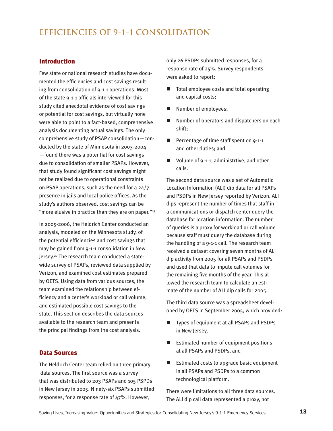# **EFFICIENCIES OF 9-1-1 CONSOLIDATION**

#### Introduction

Few state or national research studies have documented the efficiencies and cost savings resulting from consolidation of 9-1-1 operations. Most of the state 9-1-1 officials interviewed for this study cited anecdotal evidence of cost savings or potential for cost savings, but virtually none were able to point to a fact-based, comprehensive analysis documenting actual savings. The only comprehensive study of PSAP consolidation—conducted by the state of Minnesota in 2003-2004 —found there was a potential for cost savings due to consolidation of smaller PSAPs. However, that study found significant cost savings might not be realized due to operational constraints on PSAP operations, such as the need for a 24/7 presence in jails and local police offices. As the study's authors observed, cost savings can be "more elusive in practice than they are on paper."<sup>19</sup>

In 2005-2006, the Heldrich Center conducted an analysis, modeled on the Minnesota study, of the potential efficiencies and cost savings that may be gained from 9-1-1 consolidation in New Jersey.20 The research team conducted a statewide survey of PSAPs, reviewed data supplied by Verizon, and examined cost estimates prepared by OETS. Using data from various sources, the team examined the relationship between efficiency and a center's workload or call volume, and estimated possible cost savings to the state. This section describes the data sources available to the research team and presents the principal findings from the cost analysis.

#### Data Sources

The Heldrich Center team relied on three primary data sources. The first source was a survey that was distributed to 203 PSAPs and 105 PSPDs in New Jersey in 2005. Ninety-six PSAPs submitted responses, for a response rate of 47%. However,

only 26 PSDPs submitted responses, for a response rate of 25%. Survey respondents were asked to report:

- Total employee costs and total operating and capital costs;
- Number of employees;
- $\blacksquare$  Number of operators and dispatchers on each shift;
- Percentage of time staff spent on 9-1-1 and other duties; and
- $\blacksquare$  Volume of 9-1-1, administrtive, and other calls.

The second data source was a set of Automatic Location Information (ALI) dip data for all PSAPs and PSDPs in New Jersey reported by Verizon. ALI dips represent the number of times that staff in a communications or dispatch center query the database for location information. The number of queries is a proxy for workload or call volume because staff must query the database during the handling of a 9-1-1 call. The research team received a dataset covering seven months of ALI dip activity from 2005 for all PSAPs and PSDPs and used that data to impute call volumes for the remaining five months of the year. This allowed the research team to calculate an estimate of the number of ALI dip calls for 2005.

The third data source was a spreadsheet developed by OETS in September 2005, which provided:

- Types of equipment at all PSAPs and PSDPs in New Jersey,
- $\blacksquare$  Estimated number of equipment positions at all PSAPs and PSDPs, and
- $\blacksquare$  Estimated costs to upgrade basic equipment in all PSAPs and PSDPs to a common technological platform.

There were limitations to all three data sources. The ALI dip call data represented a proxy, not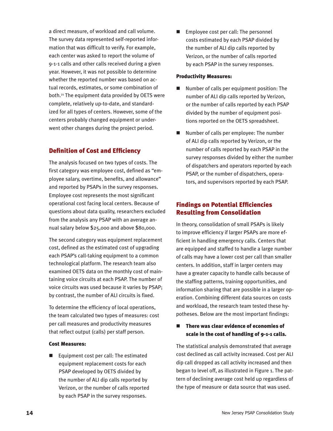a direct measure, of workload and call volume. The survey data represented self-reported information that was difficult to verify. For example, each center was asked to report the volume of 9-1-1 calls and other calls received during a given year. However, it was not possible to determine whether the reported number was based on actual records, estimates, or some combination of both.21 The equipment data provided by OETS were complete, relatively up-to-date, and standardized for all types of centers. However, some of the centers probably changed equipment or underwent other changes during the project period.

# Definition of Cost and Efficiency

The analysis focused on two types of costs. The first category was employee cost, defined as "employee salary, overtime, benefits, and allowance" and reported by PSAPs in the survey responses. Employee cost represents the most significant operational cost facing local centers. Because of questions about data quality, researchers excluded from the analysis any PSAP with an average annual salary below \$25,000 and above \$80,000.

The second category was equipment replacement cost, defined as the estimated cost of upgrading each PSAP's call-taking equipment to a common technological platform. The research team also examined OETS data on the monthly cost of maintaining voice circuits at each PSAP. The number of voice circuits was used because it varies by PSAP; by contrast, the number of ALI circuits is fixed.

To determine the efficiency of local operations, the team calculated two types of measures: cost per call measures and productivity measures that reflect output (calls) per staff person.

#### Cost Measures:

 $\blacksquare$  Equipment cost per call: The estimated equipment replacement costs for each PSAP developed by OETS divided by the number of ALI dip calls reported by Verizon, or the number of calls reported by each PSAP in the survey responses.

 $\blacksquare$  Employee cost per call: The personnel costs estimated by each PSAP divided by the number of ALI dip calls reported by Verizon, or the number of calls reported by each PSAP in the survey responses.

#### Productivity Measures:

- n Number of calls per equipment position: The number of ALI dip calls reported by Verizon, or the number of calls reported by each PSAP divided by the number of equipment positions reported on the OETS spreadsheet.
- n Number of calls per employee: The number of ALI dip calls reported by Verizon, or the number of calls reported by each PSAP in the survey responses divided by either the number of dispatchers and operators reported by each PSAP, or the number of dispatchers, operators, and supervisors reported by each PSAP.

## Findings on Potential Efficiencies Resulting from Consolidation

In theory, consolidation of small PSAPs is likely to improve efficiency if larger PSAPs are more efficient in handling emergency calls. Centers that are equipped and staffed to handle a large number of calls may have a lower cost per call than smaller centers. In addition, staff in larger centers may have a greater capacity to handle calls because of the staffing patterns, training opportunities, and information sharing that are possible in a larger operation. Combining different data sources on costs and workload, the research team tested these hypotheses. Below are the most important findings:

#### There was clear evidence of economies of scale in the cost of handling of 9-1-1 calls.

The statistical analysis demonstrated that average cost declined as call activity increased. Cost per ALI dip call dropped as call activity increased and then began to level off, as illustrated in Figure 1. The pattern of declining average cost held up regardless of the type of measure or data source that was used.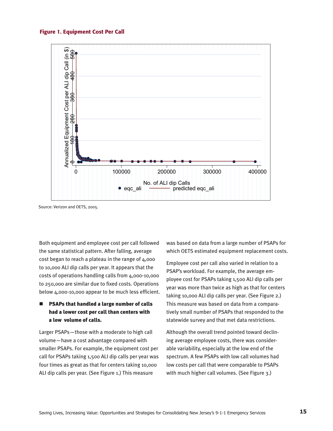#### Figure 1. Equipment Cost Per Call



Source: Verizon and OETS, 2005.

Both equipment and employee cost per call followed the same statistical pattern. After falling, average cost began to reach a plateau in the range of 4,000 to 10,000 ALI dip calls per year. It appears that the costs of operations handling calls from 4,000-10,000 to 250,000 are similar due to fixed costs. Operations below 4,000-10,000 appear to be much less efficient.

### PSAPs that handled a large number of calls had a lower cost per call than centers with a low volume of calls.

Larger PSAPs—those with a moderate to high call volume—have a cost advantage compared with smaller PSAPs. For example, the equipment cost per call for PSAPs taking 1,500 ALI dip calls per year was four times as great as that for centers taking 10,000 ALI dip calls per year. (See Figure 1.) This measure

was based on data from a large number of PSAPs for which OETS estimated equipment replacement costs.

Employee cost per call also varied in relation to a PSAP's workload. For example, the average employee cost for PSAPs taking 1,500 ALI dip calls per year was more than twice as high as that for centers taking 10,000 ALI dip calls per year. (See Figure 2.) This measure was based on data from a comparatively small number of PSAPs that responded to the statewide survey and that met data restrictions.

Although the overall trend pointed toward declining average employee costs, there was considerable variability, especially at the low end of the spectrum. A few PSAPs with low call volumes had low costs per call that were comparable to PSAPs with much higher call volumes. (See Figure 3.)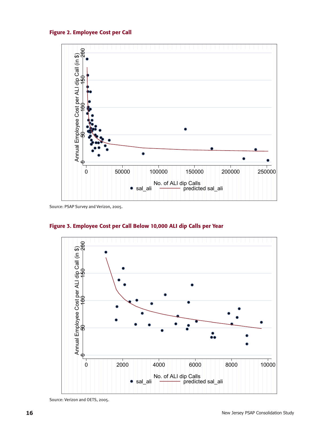Figure 2. Employee Cost per Call



Source: PSAP Survey and Verizon, 2005.



Figure 3. Employee Cost per Call Below 10,000 ALI dip Calls per Year

Source: Verizon and OETS, 2005.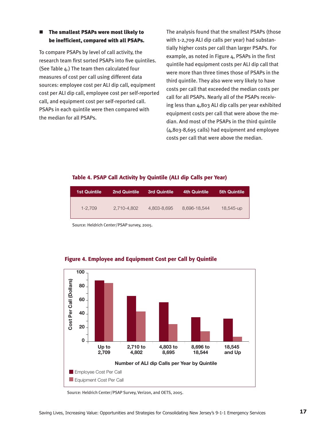#### ■ The smallest PSAPs were most likely to be inefficient, compared with all PSAPs.

To compare PSAPs by level of call activity, the research team first sorted PSAPs into five quintiles. (See Table 4.) The team then calculated four measures of cost per call using different data sources: employee cost per ALI dip call, equipment cost per ALI dip call, employee cost per self-reported call, and equipment cost per self-reported call. PSAPs in each quintile were then compared with the median for all PSAPs.

The analysis found that the smallest PSAPs (those with 1-2,709 ALI dip calls per year) had substantially higher costs per call than larger PSAPs. For example, as noted in Figure 4, PSAPs in the first quintile had equipment costs per ALI dip call that were more than three times those of PSAPs in the third quintile. They also were very likely to have costs per call that exceeded the median costs per call for all PSAPs. Nearly all of the PSAPs receiving less than 4,803 ALI dip calls per year exhibited equipment costs per call that were above the median. And most of the PSAPs in the third quintile (4,803-8,695 calls) had equipment and employee costs per call that were above the median.

#### Table 4. PSAP Call Activity by Quintile (ALI dip Calls per Year)

| <b>1st Quintile</b> | 2nd Quintile | <b>3rd Quintile</b> | <b>4th Quintile</b> | <b>5th Quintile</b> |
|---------------------|--------------|---------------------|---------------------|---------------------|
| $1 - 2.709$         | 2.710-4.802  | 4,803-8,695         | 8,696-18,544        | 18,545-up           |

Source: Heldrich Center/PSAP survey, 2005.



#### Figure 4. Employee and Equipment Cost per Call by Quintile

Source: Heldrich Center/PSAP Survey, Verizon, and OETS, 2005.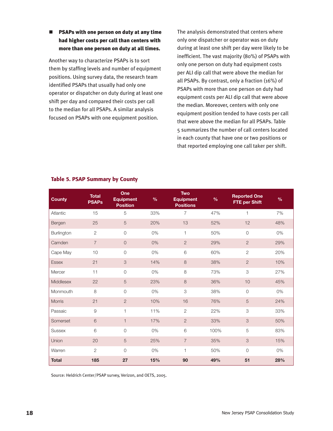#### ■ PSAPs with one person on duty at any time had higher costs per call than centers with more than one person on duty at all times.

Another way to characterize PSAPs is to sort them by staffing levels and number of equipment positions. Using survey data, the research team identified PSAPs that usually had only one operator or dispatcher on duty during at least one shift per day and compared their costs per call to the median for all PSAPs. A similar analysis focused on PSAPs with one equipment position.

The analysis demonstrated that centers where only one dispatcher or operator was on duty during at least one shift per day were likely to be inefficient. The vast majority (80%) of PSAPs with only one person on duty had equipment costs per ALI dip call that were above the median for all PSAPs. By contrast, only a fraction (16%) of PSAPs with more than one person on duty had equipment costs per ALI dip call that were above the median. Moreover, centers with only one equipment position tended to have costs per call that were above the median for all PSAPs. Table 5 summarizes the number of call centers located in each county that have one or two positions or that reported employing one call taker per shift.

| <b>County</b> | <b>Total</b><br><b>PSAPs</b> | One<br><b>Equipment</b><br><b>Position</b> | $\%$ | <b>Two</b><br><b>Equipment</b><br><b>Positions</b> | $\%$ | <b>Reported One</b><br><b>FTE per Shift</b> | $\frac{9}{6}$ |
|---------------|------------------------------|--------------------------------------------|------|----------------------------------------------------|------|---------------------------------------------|---------------|
| Atlantic      | 15                           | 5                                          | 33%  | 7                                                  | 47%  | $\mathbf{1}$                                | 7%            |
| Bergen        | 25                           | 5                                          | 20%  | 13                                                 | 52%  | 12                                          | 48%           |
| Burlington    | $\mathbf{2}$                 | $\circ$                                    | 0%   | 1                                                  | 50%  | $\overline{0}$                              | 0%            |
| Camden        | $\overline{7}$               | $\circ$                                    | 0%   | $\overline{2}$                                     | 29%  | $\overline{2}$                              | 29%           |
| Cape May      | 10                           | $\overline{O}$                             | 0%   | 6                                                  | 60%  | $\overline{c}$                              | 20%           |
| <b>Essex</b>  | 21                           | 3                                          | 14%  | 8                                                  | 38%  | $\overline{2}$                              | 10%           |
| Mercer        | 11                           | $\overline{O}$                             | 0%   | 8                                                  | 73%  | 3                                           | 27%           |
| Middlesex     | 22                           | $\sqrt{5}$                                 | 23%  | $\,8\,$                                            | 36%  | 10                                          | 45%           |
| Monmouth      | 8                            | $\mathsf{O}$                               | 0%   | 3                                                  | 38%  | $\mathbf 0$                                 | 0%            |
| Morris        | 21                           | $\overline{c}$                             | 10%  | 16                                                 | 76%  | $\overline{5}$                              | 24%           |
| Passaic       | $\mathcal{G}$                | $\mathbf{1}$                               | 11%  | $\overline{2}$                                     | 22%  | 3                                           | 33%           |
| Somerset      | $\,$ 6 $\,$                  | $\mathbf{1}$                               | 17%  | $\overline{2}$                                     | 33%  | 3                                           | 50%           |
| <b>Sussex</b> | 6                            | $\overline{0}$                             | 0%   | 6                                                  | 100% | 5                                           | 83%           |
| Union         | 20                           | $\sqrt{5}$                                 | 25%  | $\overline{7}$                                     | 35%  | 3                                           | 15%           |
| Warren        | $\mathbf{2}$                 | $\Omega$                                   | 0%   | 1                                                  | 50%  | $\overline{0}$                              | 0%            |
| <b>Total</b>  | 185                          | 27                                         | 15%  | 90                                                 | 49%  | 51                                          | 28%           |

#### Table 5. PSAP Summary by County

Source: Heldrich Center/PSAP survey, Verizon, and OETS, 2005.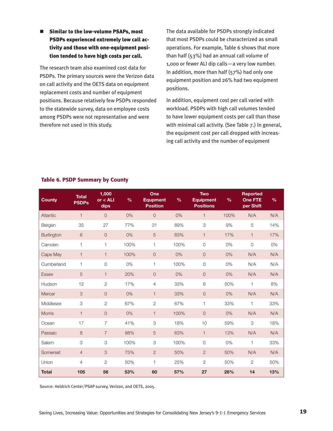■ Similar to the low-volume PSAPs, most PSDPs experienced extremely low call activity and those with one-equipment position tended to have high costs per call.

The research team also examined cost data for PSDPs. The primary sources were the Verizon data on call activity and the OETS data on equipment replacement costs and number of equipment positions. Because relatively few PSDPs responded to the statewide survey, data on employee costs among PSDPs were not representative and were therefore not used in this study.

The data available for PSDPs strongly indicated that most PSDPs could be characterized as small operations. For example, Table 6 shows that more than half (53%) had an annual call volume of 1,000 or fewer ALI dip calls—a very low number. In addition, more than half (57%) had only one equipment position and 26% had two equipment positions.

In addition, equipment cost per call varied with workload. PSDPs with high call volumes tended to have lower equipment costs per call than those with minimal call activity. (See Table 7.) In general, the equipment cost per call dropped with increasing call activity and the number of equipment

#### Table 6. PSDP Summary by County

| <b>County</b>     | <b>Total</b><br><b>PSDPs</b> | 1,000<br>or < ALI<br>dips | $\frac{0}{0}$ | One<br><b>Equpment</b><br><b>Position</b> | $\%$ | <b>Two</b><br><b>Equipment</b><br><b>Positions</b> | %    | <b>Reported</b><br><b>One FTE</b><br>per Shift | $\frac{0}{0}$ |
|-------------------|------------------------------|---------------------------|---------------|-------------------------------------------|------|----------------------------------------------------|------|------------------------------------------------|---------------|
| <b>Atlantic</b>   | $\mathbf{1}$                 | $\overline{O}$            | 0%            | $\overline{0}$                            | 0%   | $\mathbf{1}$                                       | 100% | N/A                                            | N/A           |
| Bergen            | 35                           | 27                        | 77%           | 31                                        | 89%  | 3                                                  | 9%   | 5                                              | 14%           |
| <b>Burlington</b> | 6                            | $\overline{0}$            | 0%            | 5                                         | 83%  | $\mathbf{1}$                                       | 17%  | $\mathbf{1}$                                   | 17%           |
| Camden            | $\mathbf{1}$                 | 1                         | 100%          | $\mathbf{1}$                              | 100% | $\overline{0}$                                     | 0%   | $\overline{0}$                                 | 0%            |
| Cape May          | $\mathbf{1}$                 | $\mathbf{1}$              | 100%          | $\overline{O}$                            | 0%   | $\overline{0}$                                     | 0%   | N/A                                            | N/A           |
| Cumberland        | $\mathbf{1}$                 | $\circ$                   | 0%            | $\mathbf{1}$                              | 100% | $\overline{O}$                                     | 0%   | N/A                                            | N/A           |
| <b>Essex</b>      | 5                            | $\mathbf{1}$              | 20%           | $\overline{O}$                            | 0%   | $\overline{0}$                                     | 0%   | N/A                                            | N/A           |
| Hudson            | 12                           | $\mathbf{2}$              | 17%           | $\overline{4}$                            | 33%  | 6                                                  | 50%  | $\mathbf{1}$                                   | 8%            |
| Mercer            | 3                            | $\overline{0}$            | 0%            | $\mathbf{1}$                              | 33%  | $\overline{0}$                                     | 0%   | N/A                                            | N/A           |
| Middlesex         | 3                            | $\mathbf{2}$              | 67%           | $\mathbf{2}$                              | 67%  | 1                                                  | 33%  | $\mathbf{1}$                                   | 33%           |
| <b>Morris</b>     | $\mathbf{1}$                 | $\overline{0}$            | 0%            | $\mathbf{1}$                              | 100% | $\overline{O}$                                     | 0%   | N/A                                            | N/A           |
| Ocean             | 17                           | $\overline{7}$            | 41%           | $\ensuremath{\mathsf{3}}$                 | 18%  | 10                                                 | 59%  | $\ensuremath{\mathsf{3}}$                      | 18%           |
| Passaic           | $\,8\,$                      | $\overline{7}$            | 88%           | $\sqrt{5}$                                | 63%  | $\mathbf{1}$                                       | 13%  | N/A                                            | N/A           |
| Salem             | 3                            | $\ensuremath{\mathsf{3}}$ | 100%          | 3                                         | 100% | 0                                                  | 0%   | $\mathbf{1}$                                   | 33%           |
| Somerset          | $\overline{4}$               | 3                         | 75%           | $\overline{c}$                            | 50%  | $\overline{2}$                                     | 50%  | N/A                                            | N/A           |
| Union             | $\overline{4}$               | $\overline{2}$            | 50%           | $\mathbf{1}$                              | 25%  | $\overline{2}$                                     | 50%  | $\overline{2}$                                 | 50%           |
| <b>Total</b>      | 105                          | 56                        | 53%           | 60                                        | 57%  | 27                                                 | 26%  | 14                                             | 13%           |

Source: Heldrich Center/PSAP survey, Verizon, and OETS, 2005.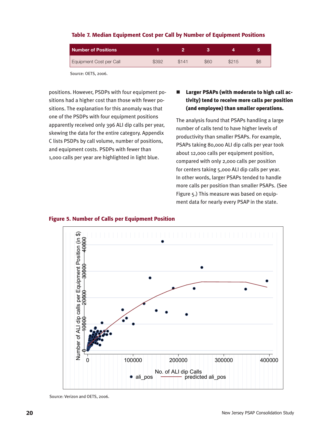# **Number of Positions 1 2 3 4 5** Equipment Cost per Call  $$392$  \$141 \$60 \$215 \$6

#### Table 7. Median Equipment Cost per Call by Number of Equipment Positions

Source: OETS, 2006.

positions. However, PSDPs with four equipment positions had a higher cost than those with fewer positions. The explanation for this anomaly was that one of the PSDPs with four equipment positions apparently received only 396 ALI dip calls per year, skewing the data for the entire category. Appendix C lists PSDPs by call volume, number of positions, and equipment costs. PSDPs with fewer than 1,000 calls per year are highlighted in light blue.

## $\blacksquare$  Larger PSAPs (with moderate to high call activity) tend to receive more calls per position (and employee) than smaller operations.

The analysis found that PSAPs handling a large number of calls tend to have higher levels of productivity than smaller PSAPs. For example, PSAPs taking 80,000 ALI dip calls per year took about 12,000 calls per equipment position, compared with only 2,000 calls per position for centers taking 5,000 ALI dip calls per year. In other words, larger PSAPs tended to handle more calls per position than smaller PSAPs. (See Figure 5.) This measure was based on equipment data for nearly every PSAP in the state.



#### Figure 5. Number of Calls per Equipment Position

Source: Verizon and OETS, 2006.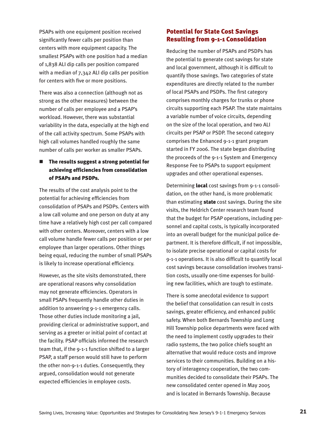PSAPs with one equipment position received significantly fewer calls per position than centers with more equipment capacity. The smallest PSAPs with one position had a median of 1,838 ALI dip calls per position compared with a median of 7,342 ALI dip calls per position for centers with five or more positions.

There was also a connection (although not as strong as the other measures) between the number of calls per employee and a PSAP's workload. However, there was substantial variability in the data, especially at the high end of the call activity spectrum. Some PSAPs with high call volumes handled roughly the same number of calls per worker as smaller PSAPs.

# $\blacksquare$  The results suggest a strong potential for achieving efficiencies from consolidation of PSAPs and PSDPs.

The results of the cost analysis point to the potential for achieving efficiencies from consolidation of PSAPs and PSDPs. Centers with a low call volume and one person on duty at any time have a relatively high cost per call compared with other centers. Moreover, centers with a low call volume handle fewer calls per position or per employee than larger operations. Other things being equal, reducing the number of small PSAPs is likely to increase operational efficiency.

However, as the site visits demonstrated, there are operational reasons why consolidation may not generate efficiencies. Operators in small PSAPs frequently handle other duties in addition to answering 9-1-1 emergency calls. Those other duties include monitoring a jail, providing clerical or administrative support, and serving as a greeter or initial point of contact at the facility. PSAP officials informed the research team that, if the 9-1-1 function shifted to a larger PSAP, a staff person would still have to perform the other non-9-1-1 duties. Consequently, they argued, consolidation would not generate expected efficiencies in employee costs.

# Potential for State Cost Savings Resulting from 9-1-1 Consolidation

Reducing the number of PSAPs and PSDPs has the potential to generate cost savings for state and local government, although it is difficult to quantify those savings. Two categories of state expenditures are directly related to the number of local PSAPs and PSDPs. The first category comprises monthly charges for trunks or phone circuits supporting each PSAP. The state maintains a variable number of voice circuits, depending on the size of the local operation, and two ALI circuits per PSAP or PSDP. The second category comprises the Enhanced 9-1-1 grant program started in FY 2006. The state began distributing the proceeds of the 9-1-1 System and Emergency Response Fee to PSAPs to support equipment upgrades and other operational expenses.

Determining local cost savings from 9-1-1 consolidation, on the other hand, is more problematic than estimating **state** cost savings. During the site visits, the Heldrich Center research team found that the budget for PSAP operations, including personnel and capital costs, is typically incorporated into an overall budget for the municipal police department. It is therefore difficult, if not impossible, to isolate precise operational or capital costs for 9-1-1 operations. It is also difficult to quantify local cost savings because consolidation involves transition costs, usually one-time expenses for building new facilities, which are tough to estimate.

There is some anecdotal evidence to support the belief that consolidation can result in costs savings, greater efficiency, and enhanced public safety. When both Bernards Township and Long Hill Township police departments were faced with the need to implement costly upgrades to their radio systems, the two police chiefs sought an alternative that would reduce costs and improve services to their communities. Building on a history of interagency cooperation, the two communities decided to consolidate their PSAPs. The new consolidated center opened in May 2005 and is located in Bernards Township. Because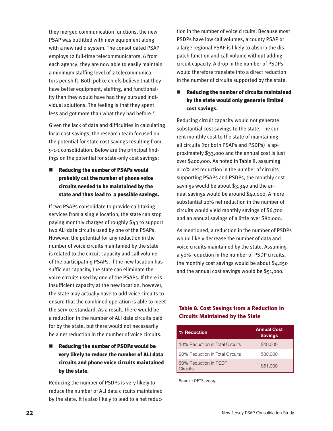they merged communication functions, the new PSAP was outfitted with new equipment along with a new radio system. The consolidated PSAP employs 12 full-time telecommunicators, 6 from each agency; they are now able to easily maintain a minimum staffing level of 2 telecommunicators per shift. Both police chiefs believe that they have better equipment, staffing, and functionality than they would have had they pursued individual solutions. The feeling is that they spent less and got more than what they had before.<sup>22</sup>

Given the lack of data and difficulties in calculating local cost savings, the research team focused on the potential for state cost savings resulting from 9-1-1 consolidation. Below are the principal findings on the potential for state-only cost savings:

■ Reducing the number of PSAPs would probably cut the number of phone voice circuits needed to be maintained by the state and thus lead to a possible savings.

If two PSAPs consolidate to provide call-taking services from a single location, the state can stop paying monthly charges of roughly \$43 to support two ALI data circuits used by one of the PSAPs. However, the potential for any reduction in the number of voice circuits maintained by the state is related to the circuit capacity and call volume of the participating PSAPs. If the new location has sufficient capacity, the state can eliminate the voice circuits used by one of the PSAPs. If there is insufficient capacity at the new location, however, the state may actually have to add voice circuits to ensure that the combined operation is able to meet the service standard. As a result, there would be a reduction in the number of ALI data circuits paid for by the state, but there would not necessarily be a net reduction in the number of voice circuits.

 $\blacksquare$  Reducing the number of PSDPs would be very likely to reduce the number of ALI data circuits and phone voice circuits maintained by the state.

Reducing the number of PSDPs is very likely to reduce the number of ALI data circuits maintained by the state. It is also likely to lead to a net reduction in the number of voice circuits. Because most PSDPs have low call volumes, a county PSAP or a large regional PSAP is likely to absorb the dispatch function and call volume without adding circuit capacity. A drop in the number of PSDPs would therefore translate into a direct reduction in the number of circuits supported by the state.

# Reducing the number of circuits maintained by the state would only generate limited cost savings.

Reducing circuit capacity would not generate substantial cost savings to the state. The current monthly cost to the state of maintaining all circuits (for both PSAPs and PSDPs) is approximately \$33,000 and the annual cost is just over \$400,000. As noted in Table 8, assuming a 10% net reduction in the number of circuits supporting PSAPs and PSDPs, the monthly cost savings would be about \$3,340 and the annual savings would be around \$40,000. A more substantial 20% net reduction in the number of circuits would yield monthly savings of \$6,700 and an annual savings of a little over \$80,000.

As mentioned, a reduction in the number of PSDPs would likely decrease the number of data and voice circuits maintained by the state. Assuming a 50% reduction in the number of PSDP circuits, the monthly cost savings would be about \$4,250 and the annual cost savings would be \$51,000.

## Table 8. Cost Savings from a Reduction in Circuits Maintained by the State

| % Reduction                       | <b>Annual Cost</b><br><b>Savings</b> |
|-----------------------------------|--------------------------------------|
| 10% Reduction in Total Circuits   | \$40,000                             |
| 20% Reduction in Total Circuits   | \$80,000                             |
| 50% Reduction in PSDP<br>Circuits | \$51,000                             |

Source: OETS, 2005.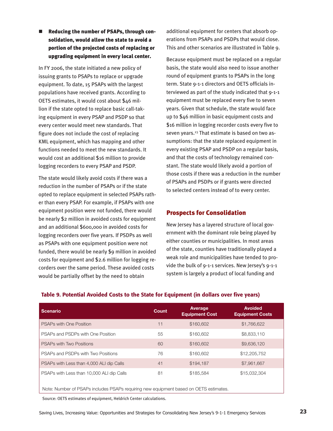Reducing the number of PSAPs, through consolidation, would allow the state to avoid a portion of the projected costs of replacing or upgrading equipment in every local center.

In FY 2006, the state initiated a new policy of issuing grants to PSAPs to replace or upgrade equipment. To date, 15 PSAPs with the largest populations have received grants. According to OETS estimates, it would cost about \$46 million if the state opted to replace basic call-taking equipment in every PSAP and PSDP so that every center would meet new standards. That figure does not include the cost of replacing KML equipment, which has mapping and other functions needed to meet the new standards. It would cost an additional \$16 million to provide logging recorders to every PSAP and PSDP.

The state would likely avoid costs if there was a reduction in the number of PSAPs or if the state opted to replace equipment in selected PSAPs rather than every PSAP. For example, if PSAPs with one equipment position were not funded, there would be nearly \$2 million in avoided costs for equipment and an additional \$600,000 in avoided costs for logging recorders over five years. If PSDPs as well as PSAPs with one equipment position were not funded, there would be nearly \$9 million in avoided costs for equipment and \$2.6 million for logging recorders over the same period. These avoided costs would be partially offset by the need to obtain

additional equipment for centers that absorb operations from PSAPs and PSDPs that would close. This and other scenarios are illustrated in Table 9.

Because equipment must be replaced on a regular basis, the state would also need to issue another round of equipment grants to PSAPs in the long term. State 9-1-1 directors and OETS officials interviewed as part of the study indicated that 9-1-1 equipment must be replaced every five to seven years. Given that schedule, the state would face up to \$46 million in basic equipment costs and \$16 million in logging recorder costs every five to seven years.<sup>23</sup> That estimate is based on two assumptions: that the state replaced equipment in every existing PSAP and PSDP on a regular basis, and that the costs of technology remained constant. The state would likely avoid a portion of those costs if there was a reduction in the number of PSAPs and PSDPs or if grants were directed to selected centers instead of to every center.

#### Prospects for Consolidation

New Jersey has a layered structure of local government with the dominant role being played by either counties or municipalities. In most areas of the state, counties have traditionally played a weak role and municipalities have tended to provide the bulk of 9-1-1 services. New Jersey's 9-1-1 system is largely a product of local funding and

| <b>Scenario</b>                                                                       | Count | Average<br><b>Equipment Cost</b> | <b>Avoided</b><br><b>Equipment Costs</b> |  |  |  |  |  |  |
|---------------------------------------------------------------------------------------|-------|----------------------------------|------------------------------------------|--|--|--|--|--|--|
| <b>PSAPs with One Position</b>                                                        | 11    | \$160,602                        | \$1,766,622                              |  |  |  |  |  |  |
| PSAPs and PSDPs with One Position                                                     | 55    | \$160,602                        | \$8,833,110                              |  |  |  |  |  |  |
| <b>PSAPs with Two Positions</b>                                                       | 60    | \$160,602                        | \$9,636,120                              |  |  |  |  |  |  |
| PSAPs and PSDPs with Two Positions                                                    | 76    | \$160,602                        | \$12,205,752                             |  |  |  |  |  |  |
| PSAPs with Less than 4,000 ALI dip Calls                                              | 41    | \$194.187                        | \$7,961,667                              |  |  |  |  |  |  |
| PSAPs with Less than 10,000 ALI dip Calls                                             | 81    | \$185,584                        | \$15,032,304                             |  |  |  |  |  |  |
| Note: Number of PSAPs includes PSAPs requiring new equipment based on OETS estimates. |       |                                  |                                          |  |  |  |  |  |  |

#### Table 9. Potential Avoided Costs to the State for Equipment (in dollars over five years)

Source: OETS estimates of equipment, Heldrich Center calculations.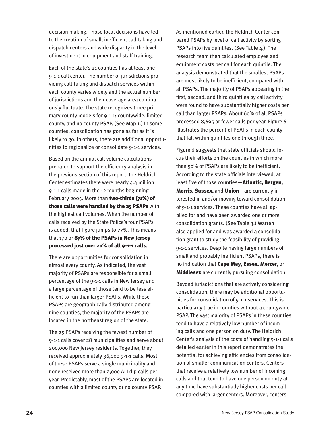decision making. Those local decisions have led to the creation of small, inefficient call-taking and dispatch centers and wide disparity in the level of investment in equipment and staff training.

Each of the state's 21 counties has at least one 9-1-1 call center. The number of jurisdictions providing call-taking and dispatch services within each county varies widely and the actual number of jurisdictions and their coverage area continuously fluctuate. The state recognizes three primary county models for 9-1-1: countywide, limited county, and no county PSAP. (See Map 1.) In some counties, consolidation has gone as far as it is likely to go. In others, there are additional opportunities to regionalize or consolidate 9-1-1 services.

Based on the annual call volume calculations prepared to support the efficiency analysis in the previous section of this report, the Heldrich Center estimates there were nearly 4.4 million 9-1-1 calls made in the 12 months beginning February 2005. More than two-thirds (71%) of those calls were handled by the 25 PSAPs with the highest call volumes. When the number of calls received by the State Police's four PSAPs is added, that figure jumps to 77%. This means that 170 or 87% of the PSAPs in New Jersey processed just over 20% of all 9-1-1 calls.

There are opportunities for consolidation in almost every county. As indicated, the vast majority of PSAPs are responsible for a small percentage of the 9-1-1 calls in New Jersey and a large percentage of those tend to be less efficient to run than larger PSAPs. While these PSAPs are geographically distributed among nine counties, the majority of the PSAPs are located in the northeast region of the state.

The 25 PSAPs receiving the fewest number of 9-1-1 calls cover 28 municipalities and serve about 200,000 New Jersey residents. Together, they received approximately 36,000 9-1-1 calls. Most of these PSAPs serve a single municipality and none received more than 2,000 ALI dip calls per year. Predictably, most of the PSAPs are located in counties with a limited county or no county PSAP.

As mentioned earlier, the Heldrich Center compared PSAPs by level of call activity by sorting PSAPs into five quintiles. (See Table 4.) The research team then calculated employee and equipment costs per call for each quintile. The analysis demonstrated that the smallest PSAPs are most likely to be inefficient, compared with all PSAPs. The majority of PSAPs appearing in the first, second, and third quintiles by call activity were found to have substantially higher costs per call than larger PSAPs. About 60% of all PSAPs processed 8,695 or fewer calls per year. Figure 6 illustrates the percent of PSAPs in each county that fall within quintiles one through three.

Figure 6 suggests that state officials should focus their efforts on the counties in which more than 50% of PSAPs are likely to be inefficient. According to the state officials interviewed, at least five of those counties-**Atlantic, Bergen,** Morris, Sussex, and Union—are currently interested in and/or moving toward consolidation of 9-1-1 services. These counties have all applied for and have been awarded one or more consolidation grants. (See Table 3.) Warren also applied for and was awarded a consolidation grant to study the feasibility of providing 9-1-1 services. Despite having large numbers of small and probably inefficient PSAPs, there is no indication that Cape May, Essex, Mercer, or **Middlesex** are currently pursuing consolidation.

Beyond jurisdictions that are actively considering consolidation, there may be additional opportunities for consolidation of 9-1-1 services. This is particularly true in counties without a countywide PSAP. The vast majority of PSAPs in these counties tend to have a relatively low number of incoming calls and one person on duty. The Heldrich Center's analysis of the costs of handling 9-1-1 calls detailed earlier in this report demonstrates the potential for achieving efficiencies from consolidation of smaller communication centers. Centers that receive a relatively low number of incoming calls and that tend to have one person on duty at any time have substantially higher costs per call compared with larger centers. Moreover, centers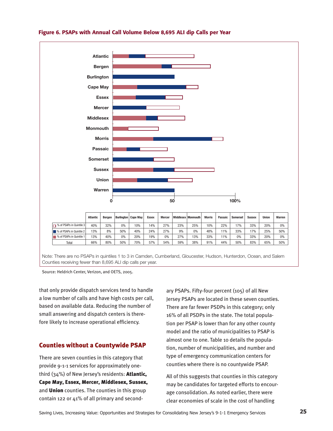

#### Figure 6. PSAPs with Annual Call Volume Below 8,695 ALI dip Calls per Year

Source: Heldrich Center, Verizon, and OETS, 2005.

that only provide dispatch services tend to handle a low number of calls and have high costs per call, based on available data. Reducing the number of small answering and dispatch centers is therefore likely to increase operational efficiency.

#### Counties without a Countywide PSAP

There are seven counties in this category that provide 9-1-1 services for approximately onethird (34%) of New Jersey's residents: **Atlantic,** Cape May, Essex, Mercer, Middlesex, Sussex, and **Union** counties. The counties in this group contain 122 or 41% of all primary and secondary PSAPs. Fifty-four percent (105) of all New Jersey PSAPs are located in these seven counties. There are far fewer PSDPs in this category; only 16% of all PSDPs in the state. The total population per PSAP is lower than for any other county model and the ratio of municipalities to PSAP is almost one to one. Table 10 details the population, number of municipalities, and number and type of emergency communication centers for counties where there is no countywide PSAP.

All of this suggests that counties in this category may be candidates for targeted efforts to encourage consolidation. As noted earlier, there were clear economies of scale in the cost of handling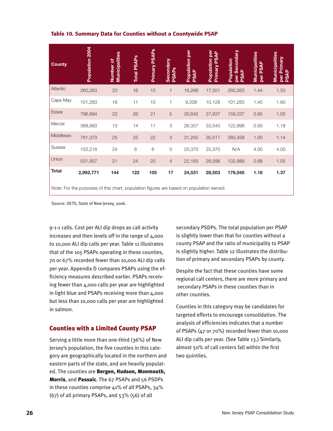| Table 10. Summary Data for Counties without a Countywide PSAP |  |  |  |  |  |
|---------------------------------------------------------------|--|--|--|--|--|
|---------------------------------------------------------------|--|--|--|--|--|

| <b>County</b> | Population 2004                                                                                       | Municipalities<br>Number of | <b>Total PSAPs</b> | Primary PSAP <sub>S</sub> | Secondary<br>PSAPs        | Population per<br>PSAP | per<br>$\frac{p}{\mathbf{A}}$<br>Primary PS.<br>Population | per Secondary<br>PSAP<br>Population | Municipalities<br>per PSAP | Municipalities<br>per Primary<br>PSAP |
|---------------|-------------------------------------------------------------------------------------------------------|-----------------------------|--------------------|---------------------------|---------------------------|------------------------|------------------------------------------------------------|-------------------------------------|----------------------------|---------------------------------------|
| Atlantic      | 260,263                                                                                               | 23                          | 16                 | 15                        | 1                         | 16,266                 | 17,351                                                     | 260,263                             | 1.44                       | 1.53                                  |
| Cape May      | 101,283                                                                                               | 16                          | 11                 | 10                        | 1                         | 9,208                  | 10,128                                                     | 101,283                             | 1.45                       | 1.60                                  |
| <b>Essex</b>  | 796,684                                                                                               | 22                          | 26                 | 21                        | 5                         | 30,642                 | 37,937                                                     | 159,337                             | 0.85                       | 1.05                                  |
| Mercer        | 368,993                                                                                               | 13                          | 14                 | 11                        | $\ensuremath{\mathsf{3}}$ | 26,357                 | 33,545                                                     | 122,998                             | 0.93                       | 1.18                                  |
| Middlesex     | 781,373                                                                                               | 25                          | 25                 | 22                        | 3                         | 31,255                 | 35,517                                                     | 260,458                             | 1.00                       | 1.14                                  |
| <b>Sussex</b> | 152,218                                                                                               | 24                          | 6                  | 6                         | $\mathbf 0$               | 25,370                 | 25,370                                                     | N/A                                 | 4.00                       | 4.00                                  |
| Union         | 531,957                                                                                               | 21                          | 24                 | 20                        | $\overline{4}$            | 22,165                 | 26,598                                                     | 132,989                             | 0.88                       | 1.05                                  |
| <b>Total</b>  | 2,992,771<br>Note: For the purposes of this chart, population figures are based on population served. | 144                         | 122                | 105                       | 17                        | 24,531                 | 28,503                                                     | 176,045                             | 1.18                       | 1.37                                  |

Source: OETS, State of New Jersey, 2006.

9-1-1 calls. Cost per ALI dip drops as call activity increases and then levels off in the range of 4,000 to 10,000 ALI dip calls per year. Table 11 illustrates that of the 105 PSAPs operating in these counties, 70 or 67% recorded fewer than 10,000 ALI dip calls per year. Appendix D compares PSAPs using the efficiency measures described earlier. PSAPs receiving fewer than 4,000 calls per year are highlighted in light blue and PSAPs receiving more than 4,000 but less than 10,000 calls per year are highlighted in salmon.

#### Counties with a Limited County PSAP

Serving a little more than one-third (36%) of New Jersey's population, the five counties in this category are geographically located in the northern and eastern parts of the state, and are heavily populated. The counties are Bergen, Hudson, Monmouth, Morris, and Passaic. The 67 PSAPs and 56 PSDPs in these counties comprise 41% of all PSAPs, 34% (67) of all primary PSAPs, and 53% (56) of all

secondary PSDPs. The total population per PSAP is slightly lower than that for counties without a county PSAP and the ratio of municipality to PSAP is slightly higher. Table 12 illustrates the distribution of primary and secondary PSAPs by county.

Despite the fact that these counties have some regional call centers, there are more primary and secondary PSAPs in these counties than in other counties.

Counties in this category may be candidates for targeted efforts to encourage consolidation. The analysis of efficiencies indicates that a number of PSAPs (47 or 70%) recorded fewer than 10,000 ALI dip calls per year. (See Table 13.) Similarly, almost 50% of call centers fall within the first two quintiles.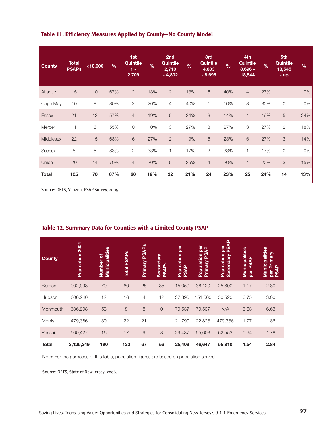#### Table 11. Efficiency Measures Applied by County—No County Model

| County       | <b>Total</b><br><b>PSAPs</b> | $10,000$ | $\frac{9}{6}$ | 1st<br>Quintile<br>$1 -$<br>2,709 | $\frac{9}{6}$ | 2nd<br>Quintile<br>2,710<br>$-4,802$ | $\frac{9}{6}$ | 3rd<br>Quintile<br>4,803<br>$-8,695$ | $\frac{9}{6}$ | 4th<br>Quintile<br>$8,696 -$<br>18,544 | $\frac{9}{6}$ | 5th<br><b>Quintile</b><br>18,545<br>- up | $\frac{9}{6}$ |
|--------------|------------------------------|----------|---------------|-----------------------------------|---------------|--------------------------------------|---------------|--------------------------------------|---------------|----------------------------------------|---------------|------------------------------------------|---------------|
| Atlantic     | 15                           | 10       | 67%           | $\mathbf{2}$                      | 13%           | $\mathbf{2}$                         | 13%           | $\,$ 6 $\,$                          | 40%           | $\overline{4}$                         | 27%           | $\mathbf{1}$                             | 7%            |
| Cape May     | 10                           | 8        | 80%           | $\mathbf{2}$                      | 20%           | 4                                    | 40%           | 1                                    | 10%           | 3                                      | 30%           | $\mathbb O$                              | 0%            |
| <b>Essex</b> | 21                           | 12       | 57%           | $\overline{4}$                    | 19%           | 5                                    | 24%           | $\ensuremath{\mathsf{3}}$            | 14%           | $\overline{4}$                         | 19%           | 5                                        | 24%           |
| Mercer       | 11                           | 6        | 55%           | $\mathsf O$                       | 0%            | 3                                    | 27%           | 3                                    | 27%           | 3                                      | 27%           | $\mathbf{2}$                             | 18%           |
| Middlesex    | 22                           | 15       | 68%           | 6                                 | 27%           | $\mathbf{2}$                         | 9%            | 5                                    | 23%           | 6                                      | 27%           | 3                                        | 14%           |
| Sussex       | 6                            | 5        | 83%           | $\mathbf{2}$                      | 33%           | 1                                    | 17%           | $\sqrt{2}$                           | 33%           | 1                                      | 17%           | $\mathbb O$                              | 0%            |
| Union        | 20                           | 14       | 70%           | $\overline{4}$                    | 20%           | $\sqrt{5}$                           | 25%           | $\overline{4}$                       | 20%           | $\overline{4}$                         | 20%           | $\ensuremath{\mathsf{3}}$                | 15%           |
| <b>Total</b> | 105                          | 70       | 67%           | 20                                | 19%           | 22                                   | 21%           | 24                                   | 23%           | 25                                     | 24%           | 14                                       | 13%           |

Source: OETS, Verizon, PSAP Survey, 2005.

| <b>County</b> | 2004<br>Population | <b>Municipalities</b><br>৳<br>Number | <b>PSAPs</b><br>Total | Primary PSAPs  | Secondary<br><b>PSAPs</b> | per<br>Population<br><b>PSAP</b> | Population per<br>$\overline{4}$<br>Primary PS. | <b>PSAP</b><br>per<br>Population<br>Secondary | Municipalities<br>PSA<br>per | Municipalities<br>Primary<br>per Pr<br>PSAP |
|---------------|--------------------|--------------------------------------|-----------------------|----------------|---------------------------|----------------------------------|-------------------------------------------------|-----------------------------------------------|------------------------------|---------------------------------------------|
| Bergen        | 902,998            | 70                                   | 60                    | 25             | 35                        | 15,050                           | 36,120                                          | 25,800                                        | 1.17                         | 2.80                                        |
| Hudson        | 606,240            | 12                                   | 16                    | $\overline{4}$ | 12                        | 37,890                           | 151,560                                         | 50,520                                        | 0.75                         | 3.00                                        |
| Monmouth      | 636,298            | 53                                   | $\,8\,$               | $\,8\,$        | $\circ$                   | 79,537                           | 79,537                                          | N/A                                           | 6.63                         | 6.63                                        |
| <b>Morris</b> | 479,386            | 39                                   | 22                    | 21             | 1                         | 21,790                           | 22,828                                          | 479,386                                       | 1.77                         | 1.86                                        |
| Passaic       | 500,427            | 16                                   | 17                    | $\mathsf{9}$   | 8                         | 29,437                           | 55,603                                          | 62,553                                        | 0.94                         | 1.78                                        |
| <b>Total</b>  | 3,125,349          | 190                                  | 123                   | 67             | 56                        | 25,409                           | 46,647                                          | 55,810                                        | 1.54                         | 2.84                                        |

#### Table 12. Summary Data for Counties with a Limited County PSAP

Note: For the purposes of this table, population figures are based on population served.

Source: OETS, State of New Jersey, 2006.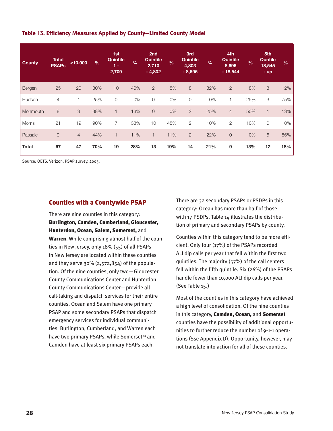#### Table 13. Efficiency Measures Applied by County—Limited County Model

| <b>County</b> | <b>Total</b><br><b>PSAPs</b> | $<$ 10,000     | $\frac{0}{0}$ | 1st<br>Quintile<br>$1 -$<br>2,709 | $\frac{9}{6}$ | 2nd<br>Quintile<br>2,710<br>$-4,802$ | $\frac{9}{6}$ | 3rd<br><b>Quintile</b><br>4,803<br>$-8,695$ | $\frac{9}{6}$ | 4th<br>Quintile<br>8,696<br>$-18,544$ | $\frac{9}{6}$ | 5th<br>Quntile<br>18,545<br>$-$ up | $\frac{0}{0}$ |
|---------------|------------------------------|----------------|---------------|-----------------------------------|---------------|--------------------------------------|---------------|---------------------------------------------|---------------|---------------------------------------|---------------|------------------------------------|---------------|
| Bergen        | 25                           | 20             | 80%           | 10                                | 40%           | $\overline{2}$                       | 8%            | 8                                           | 32%           | $\overline{2}$                        | 8%            | 3                                  | 12%           |
| Hudson        | $\overline{4}$               |                | 25%           | $\mathbf 0$                       | 0%            | $\circ$                              | 0%            | $\circ$                                     | 0%            | $\overline{1}$                        | 25%           | 3                                  | 75%           |
| Monmouth      | 8                            | 3              | 38%           | $\mathbf{1}$                      | 13%           | $\overline{O}$                       | 0%            | $\mathbf{2}$                                | 25%           | $\overline{4}$                        | 50%           | $\overline{1}$                     | 13%           |
| <b>Morris</b> | 21                           | 19             | 90%           | $\overline{7}$                    | 33%           | 10                                   | 48%           | $\overline{2}$                              | 10%           | $\overline{2}$                        | 10%           | $\overline{0}$                     | 0%            |
| Passaic       | $\Theta$                     | $\overline{4}$ | 44%           | $\mathbf{1}$                      | 11%           | $\mathbf{1}$                         | 11%           | $\mathbf{2}$                                | 22%           | $\overline{O}$                        | 0%            | 5                                  | 56%           |
| <b>Total</b>  | 67                           | 47             | 70%           | 19                                | 28%           | 13                                   | 19%           | 14                                          | 21%           | 9                                     | 13%           | 12                                 | 18%           |

Source: OETS, Verizon, PSAP survey, 2005.

#### Counties with a Countywide PSAP

There are nine counties in this category: Burlington, Camden, Cumberland, Gloucester, Hunterdon, Ocean, Salem, Somerset, and Warren. While comprising almost half of the counties in New Jersey, only 18% (55) of all PSAPs in New Jersey are located within these counties and they serve 30% (2,572,854) of the population. Of the nine counties, only two—Gloucester County Communications Center and Hunterdon County Communications Center—provide all call-taking and dispatch services for their entire counties. Ocean and Salem have one primary PSAP and some secondary PSAPs that dispatch emergency services for individual communities. Burlington, Cumberland, and Warren each have two primary PSAPs, while Somerset<sup>24</sup> and Camden have at least six primary PSAPs each.

There are 32 secondary PSAPs or PSDPs in this category; Ocean has more than half of those with 17 PSDPs. Table 14 illustrates the distribution of primary and secondary PSAPs by county.

Counties within this category tend to be more efficient. Only four (17%) of the PSAPs recorded ALI dip calls per year that fell within the first two quintiles. The majority (57%) of the call centers fell within the fifth quintile. Six (26%) of the PSAPs handle fewer than 10,000 ALI dip calls per year. (See Table 15.)

Most of the counties in this category have achieved a high level of consolidation. Of the nine counties in this category, Camden, Ocean, and Somerset counties have the possibility of additional opportunities to further reduce the number of 9-1-1 operations (Sse Appendix D). Opportunity, however, may not translate into action for all of these counties.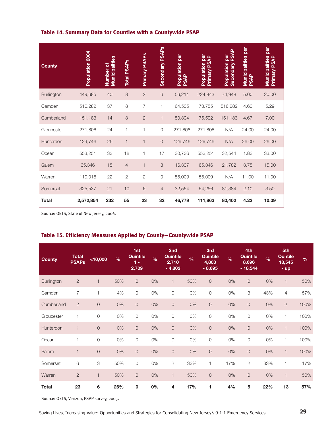#### Table 14. Summary Data for Counties with a Countywide PSAP

| <b>County</b> | Population 2004 | Municipalities<br>Number of | <b>Total PSAPs</b> | Primary PSAP <sub>S</sub> | Secondary PSAPs | Population per<br><b>PSAP</b> | Population per<br>$\mathbf{R}$<br><b>Primary PS</b> | <b>PSAP</b><br><b>Population per</b><br>Secondary | per<br>Municipalities<br><b>PSAP</b> | per<br><b>Municipalities</b><br>Primary PSAP |
|---------------|-----------------|-----------------------------|--------------------|---------------------------|-----------------|-------------------------------|-----------------------------------------------------|---------------------------------------------------|--------------------------------------|----------------------------------------------|
| Burlington    | 449,685         | 40                          | $\,8\,$            | $\mathbf{2}$              | $\,$ 6 $\,$     | 56,211                        | 224,843                                             | 74,948                                            | 5.00                                 | 20.00                                        |
| Camden        | 516,282         | 37                          | 8                  | $\overline{7}$            | 1               | 64,535                        | 73,755                                              | 516,282                                           | 4.63                                 | 5.29                                         |
| Cumberland    | 151,183         | 14                          | 3                  | $\overline{2}$            | $\mathbf{1}$    | 50,394                        | 75,592                                              | 151,183                                           | 4.67                                 | 7.00                                         |
| Gloucester    | 271,806         | 24                          | 1                  | 1                         | $\overline{O}$  | 271,806                       | 271,806                                             | N/A                                               | 24.00                                | 24.00                                        |
| Hunterdon     | 129,746         | 26                          | $\mathbf{1}$       | 1                         | $\overline{0}$  | 129,746                       | 129,746                                             | N/A                                               | 26.00                                | 26.00                                        |
| Ocean         | 553,251         | 33                          | 18                 | 1                         | 17              | 30,736                        | 553,251                                             | 32,544                                            | 1.83                                 | 33.00                                        |
| Salem         | 65,346          | 15                          | $\overline{4}$     | $\mathbf{1}$              | 3               | 16,337                        | 65,346                                              | 21,782                                            | 3.75                                 | 15.00                                        |
| Warren        | 110,018         | 22                          | $\mathbf{2}$       | $\mathbf{2}$              | $\circ$         | 55,009                        | 55,009                                              | N/A                                               | 11.00                                | 11.00                                        |
| Somerset      | 325,537         | 21                          | 10                 | 6                         | $\overline{4}$  | 32,554                        | 54,256                                              | 81,384                                            | 2.10                                 | 3.50                                         |
| <b>Total</b>  | 2,572,854       | 232                         | 55                 | 23                        | 32              | 46,779                        | 111,863                                             | 80,402                                            | 4.22                                 | 10.09                                        |

Source: OETS, State of New Jersey, 2006.

# Table 15. Efficiency Measures Applied by County—Countywide PSAP

| <b>County</b> | <b>Total</b><br><b>PSAPs</b> | $<$ 10,000     | $\frac{9}{6}$ | 1st<br>Quintile<br>$1 -$<br>2,709 | $\frac{9}{6}$ | 2nd<br>Quintile<br>2,710<br>$-4,802$ | $\frac{9}{6}$ | 3rd<br>Quintile<br>4,803<br>$-8,695$ | $\frac{9}{6}$ | 4th<br>Quintile<br>8,696<br>$-18,544$ | $\frac{9}{6}$ | 5th<br>Quntile<br>18,545<br>$-$ up | $\frac{9}{6}$ |
|---------------|------------------------------|----------------|---------------|-----------------------------------|---------------|--------------------------------------|---------------|--------------------------------------|---------------|---------------------------------------|---------------|------------------------------------|---------------|
| Burlington    | $\mathbf{2}$                 | $\mathbf{1}$   | 50%           | $\overline{0}$                    | 0%            | $\mathbf{1}$                         | 50%           | $\overline{0}$                       | $0\%$         | $\overline{O}$                        | 0%            | $\mathbf{1}$                       | 50%           |
| Camden        | $\overline{7}$               | $\mathbf{1}$   | 14%           | 0                                 | 0%            | $\mathbf 0$                          | $0\%$         | $\overline{0}$                       | $0\%$         | 3                                     | 43%           | $\overline{4}$                     | 57%           |
| Cumberland    | $\overline{2}$               | $\mathsf O$    | 0%            | $\mathsf O$                       | 0%            | $\mathsf O$                          | 0%            | $\mathsf O$                          | $0\%$         | $\mathbf 0$                           | 0%            | $\overline{2}$                     | 100%          |
| Gloucester    | 1                            | $\mathsf O$    | 0%            | $\mathsf O$                       | 0%            | $\mathsf{O}$                         | 0%            | $\mathbf 0$                          | 0%            | 0                                     | 0%            | 1                                  | 100%          |
| Hunterdon     | $\mathbf{1}$                 | $\overline{O}$ | 0%            | $\overline{0}$                    | 0%            | $\mathsf O$                          | 0%            | $\circ$                              | $0\%$         | $\overline{O}$                        | 0%            | 1                                  | 100%          |
| Ocean         | 1                            | 0              | 0%            | 0                                 | 0%            | $\mathbf 0$                          | $0\%$         | $\overline{0}$                       | 0%            | $\mathbf 0$                           | 0%            | 1                                  | 100%          |
| Salem         | $\mathbf{1}$                 | $\circ$        | $0\%$         | $\overline{0}$                    | 0%            | $\mathsf O$                          | 0%            | $\circ$                              | $0\%$         | $\mathbf 0$                           | 0%            | $\mathbf{1}$                       | 100%          |
| Somerset      | $\,$ 6 $\,$                  | 3              | 50%           | $\mathsf O$                       | 0%            | $\sqrt{2}$                           | 33%           | $\mathbf{1}$                         | 17%           | $\mathbf{2}$                          | 33%           | 1                                  | 17%           |
| Warren        | $\overline{2}$               | $\mathbf{1}$   | 50%           | $\overline{0}$                    | 0%            | $\vert$                              | 50%           | $\overline{0}$                       | 0%            | $\overline{O}$                        | $0\%$         | $\mathbf{1}$                       | 50%           |
| <b>Total</b>  | 23                           | 6              | 26%           | 0                                 | $0\%$         | 4                                    | 17%           | 1                                    | 4%            | $\sqrt{5}$                            | 22%           | 13                                 | 57%           |

Source: OETS, Verizon, PSAP survey, 2005.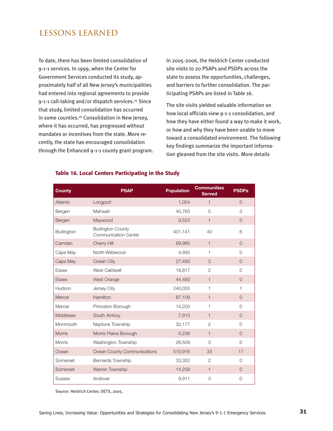# **LESSONS LEARNED**

To date, there has been limited consolidation of 9-1-1 services. In 1999, when the Center for Government Services conducted its study, approximately half of all New Jersey's municipalities had entered into regional agreements to provide 9-1-1 call-taking and/or dispatch services.<sup>25</sup> Since that study, limited consolidation has occurred in some counties.<sup>26</sup> Consolidation in New Jersey, where it has occurred, has progressed without mandates or incentives from the state. More recently, the state has encouraged consolidation through the Enhanced 9-1-1 county grant program. In 2005-2006, the Heldrich Center conducted site visits to 20 PSAPs and PSDPs across the state to assess the opportunities, challenges, and barriers to further consolidation. The participating PSAPs are listed in Table 16.

The site visits yielded valuable information on how local officials view 9-1-1 consolidation, and how they have either found a way to make it work, or how and why they have been unable to move toward a consolidated environment. The following key findings summarize the important information gleaned from the site visits. More details

| <b>County</b>    | <b>PSAP</b>                                             | <b>Population</b> | <b>Communities</b><br><b>Served</b> | <b>PSDPs</b>   |
|------------------|---------------------------------------------------------|-------------------|-------------------------------------|----------------|
| Atlantic         | Longport                                                | 1,054             | $\mathbf{1}$                        | $\Omega$       |
| Bergen           | Mahwah                                                  | 45,763            | 5                                   | 3              |
| Bergen           | Maywood                                                 | 9,523             | $\mathbf{1}$                        | $\overline{O}$ |
| Burlington       | <b>Burlington County</b><br><b>Communication Center</b> | 401,141           | 40                                  | 6              |
| Camden           | Cherry Hill                                             | 69,965            | $\mathbf{1}$                        | $\Omega$       |
| Cape May         | North Wildwood                                          | 4,935             | 1                                   | $\Omega$       |
| Cape May         | Ocean City                                              | 27,493            | 3                                   | $\overline{O}$ |
| <b>Essex</b>     | <b>West Caldwell</b>                                    | 18,817            | $\overline{2}$                      | $\Omega$       |
| <b>Essex</b>     | West Orange                                             | 44,493            | $\mathbf{1}$                        | $\overline{0}$ |
| Hudson           | Jersey City                                             | 240,055           | 1                                   | 1              |
| Mercer           | Hamilton                                                | 87,109            | $\mathbf{1}$                        | $\overline{O}$ |
| Mercer           | Princeton Borough                                       | 14,203            | 1                                   | $\Omega$       |
| <b>Middlesex</b> | South Amboy                                             | 7,913             | $\mathbf{1}$                        | $\Omega$       |
| Monmouth         | Neptune Township                                        | 32,177            | $\overline{2}$                      | $\Omega$       |
| <b>Morris</b>    | Morris Plains Borough                                   | 5,236             | $\mathbf{1}$                        | $\overline{O}$ |
| <b>Morris</b>    | Washington Township                                     | 26,509            | 3                                   | $\Omega$       |
| Ocean            | Ocean County Communications                             | 510,916           | 33                                  | 17             |
| Somerset         | Bernards Township                                       | 33,352            | $\overline{2}$                      | $\Omega$       |
| Somerset         | Warren Township                                         | 14,259            | $\mathbf{1}$                        | $\overline{O}$ |
| <b>Sussex</b>    | Andover                                                 | 9,911             | 3                                   | $\Omega$       |

#### Table 16. Local Centers Participating in the Study

Source: Heldrich Center, OETS, 2005.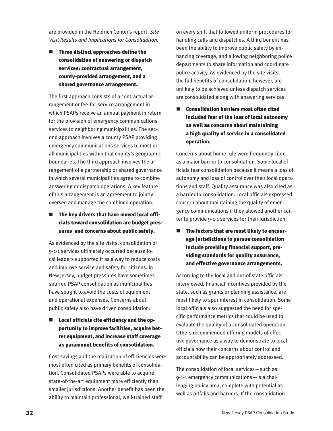are provided in the Heldrich Center's report, *Site Visit Results and Implications for Consolidation.*

 $\blacksquare$  Three distinct approaches define the consolidation of answering or dispatch services: contractual arrangement, county-provided arrangement, and a shared governance arrangement.

The first approach consists of a contractual arrangement or fee-for-service arrangement in which PSAPs receive an annual payment in return for the provision of emergency communications services to neighboring municipalities. The second approach involves a county PSAP providing emergency communications services to most or all municipalities within that county's geographic boundaries. The third approach involves the arrangement of a partnership or shared governance in which several municipalities agree to combine answering or dispatch operations. A key feature of this arrangement is an agreement to jointly oversee and manage the combined operation.

 $\blacksquare$  The key drivers that have moved local officials toward consolidation are budget pressures and concerns about public safety.

As evidenced by the site visits, consolidation of 9-1-1 services ultimately occurred because local leaders supported it as a way to reduce costs and improve service and safety for citizens. In New Jersey, budget pressures have sometimes spurred PSAP consolidation as municipalities have sought to avoid the costs of equipment and operational expenses. Concerns about public safety also have driven consolidation.

Local officials cite efficiency and the opportunity to improve facilities, acquire better equipment, and increase staff coverage as paramount benefits of consolidation.

Cost savings and the realization of efficiencies were most often cited as primary benefits of consolidation. Consolidated PSAPs were able to acquire state-of-the-art equipment more efficiently than smaller jurisdictions. Another benefit has been the ability to maintain professional, well-trained staff

on every shift that followed uniform procedures for handling calls and dispatches. A third benefit has been the ability to improve public safety by enhancing coverage, and allowing neighboring police departments to share information and coordinate police activity. As evidenced by the site visits, the full benefits of consolidation, however, are unlikely to be achieved unless dispatch services are consolidated along with answering services.

Consolidation barriers most often cited included fear of the loss of local autonomy as well as concerns about maintaining a high quality of service in a consolidated operation.

Concerns about home rule were frequently cited as a major barrier to consolidation. Some local officials fear consolidation because it means a loss of autonomy and loss of control over their local operations and staff. Quality assurance was also cited as a barrier to consolidation. Local officials expressed concern about maintaining the quality of emergency communications if they allowed another center to provide 9-1-1 services for their jurisdiction.

■ The factors that are most likely to encourage jurisdictions to pursue consolidation include providing financial support, providing standards for quality assurance, and effective governance arrangements.

According to the local and out-of state officials interviewed, financial incentives provided by the state, such as grants or planning assistance, are most likely to spur interest in consolidation. Some local officials also suggested the need for specific performance metrics that could be used to evaluate the quality of a consolidated operation. Others recommended offering models of effective governance as a way to demonstrate to local officials how their concerns about control and accountability can be appropriately addressed.

The consolidation of local services—such as 9-1-1 emergency communications—is a challenging policy area, complete with potential as well as pitfalls and barriers. If the consolidation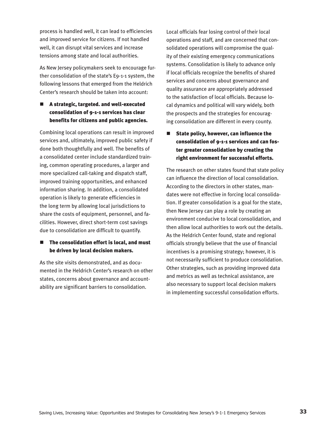process is handled well, it can lead to efficiencies and improved service for citizens. If not handled well, it can disrupt vital services and increase tensions among state and local authorities.

As New Jersey policymakers seek to encourage further consolidation of the state's E9-1-1 system, the following lessons that emerged from the Heldrich Center's research should be taken into account:

## $\blacksquare$  A strategic, targeted. and well-executed consolidation of 9-1-1 services has clear benefits for citizens and public agencies.

Combining local operations can result in improved services and, ultimately, improved public safety if done both thoughtfully and well. The benefits of a consolidated center include standardized training, common operating procedures, a larger and more specialized call-taking and dispatch staff, improved training opportunities, and enhanced information sharing. In addition, a consolidated operation is likely to generate efficiencies in the long term by allowing local jurisdictions to share the costs of equipment, personnel, and facilities. However, direct short-term cost savings due to consolidation are difficult to quantify.

#### $\blacksquare$  The consolidation effort is local, and must be driven by local decision makers.

As the site visits demonstrated, and as documented in the Heldrich Center's research on other states, concerns about governance and accountability are significant barriers to consolidation.

Local officials fear losing control of their local operations and staff, and are concerned that consolidated operations will compromise the quality of their existing emergency communications systems. Consolidation is likely to advance only if local officials recognize the benefits of shared services and concerns about governance and quality assurance are appropriately addressed to the satisfaction of local officials. Because local dynamics and political will vary widely, both the prospects and the strategies for encouraging consolidation are different in every county.

# State policy, however, can influence the consolidation of 9-1-1 services and can foster greater consolidation by creating the right environment for successful efforts.

The research on other states found that state policy can influence the direction of local consolidation. According to the directors in other states, mandates were not effective in forcing local consolidation. If greater consolidation is a goal for the state, then New Jersey can play a role by creating an environment conducive to local consolidation, and then allow local authorities to work out the details. As the Heldrich Center found, state and regional officials strongly believe that the use of financial incentives is a promising strategy; however, it is not necessarily sufficient to produce consolidation. Other strategies, such as providing improved data and metrics as well as technical assistance, are also necessary to support local decision makers in implementing successful consolidation efforts.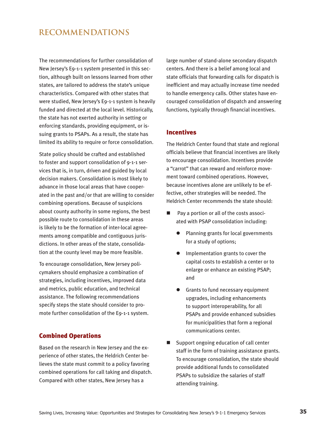# **RECOMMENDATIONS**

The recommendations for further consolidation of New Jersey's E9-1-1 system presented in this section, although built on lessons learned from other states, are tailored to address the state's unique characteristics. Compared with other states that were studied, New Jersey's E9-1-1 system is heavily funded and directed at the local level. Historically, the state has not exerted authority in setting or enforcing standards, providing equipment, or issuing grants to PSAPs. As a result, the state has limited its ability to require or force consolidation.

State policy should be crafted and established to foster and support consolidation of 9-1-1 services that is, in turn, driven and guided by local decision makers. Consolidation is most likely to advance in those local areas that have cooperated in the past and/or that are willing to consider combining operations. Because of suspicions about county authority in some regions, the best possible route to consolidation in these areas is likely to be the formation of inter-local agreements among compatible and contiguous jurisdictions. In other areas of the state, consolidation at the county level may be more feasible.

To encourage consolidation, New Jersey policymakers should emphasize a combination of strategies, including incentives, improved data and metrics, public education, and technical assistance. The following recommendations specify steps the state should consider to promote further consolidation of the E9-1-1 system.

#### Combined Operations

Based on the research in New Jersey and the experience of other states, the Heldrich Center believes the state must commit to a policy favoring combined operations for call taking and dispatch. Compared with other states, New Jersey has a

large number of stand-alone secondary dispatch centers. And there is a belief among local and state officials that forwarding calls for dispatch is inefficient and may actually increase time needed to handle emergency calls. Other states have encouraged consolidation of dispatch and answering functions, typically through financial incentives.

#### **Incentives**

The Heldrich Center found that state and regional officials believe that financial incentives are likely to encourage consolidation. Incentives provide a "carrot" that can reward and reinforce movement toward combined operations. However, because incentives alone are unlikely to be effective, other strategies will be needed. The Heldrich Center recommends the state should:

- Pay a portion or all of the costs associated with PSAP consolidation including:
	- l Planning grants for local governments for a study of options;
	- Implementation grants to cover the capital costs to establish a center or to enlarge or enhance an existing PSAP; and
	- **•** Grants to fund necessary equipment upgrades, including enhancements to support interoperability, for all PSAPs and provide enhanced subsidies for municipalities that form a regional communications center.
- $\Box$  Support ongoing education of call center staff in the form of training assistance grants. To encourage consolidation, the state should provide additional funds to consolidated PSAPs to subsidize the salaries of staff attending training.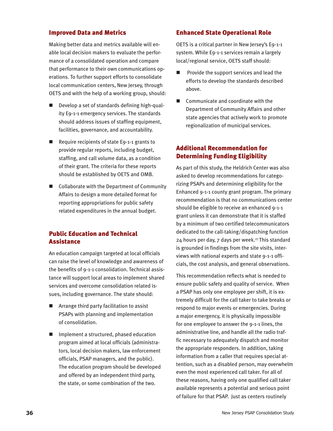#### Improved Data and Metrics

Making better data and metrics available will enable local decision makers to evaluate the performance of a consolidated operation and compare that performance to their own communications operations. To further support efforts to consolidate local communication centers, New Jersey, through OETS and with the help of a working group, should:

- $\blacksquare$  Develop a set of standards defining high-quality E9-1-1 emergency services. The standards should address issues of staffing equipment, facilities, governance, and accountability.
- $\blacksquare$  Require recipients of state E9-1-1 grants to provide regular reports, including budget, staffing, and call volume data, as a condition of their grant. The criteria for these reports should be established by OETS and OMB.
- $\blacksquare$  Collaborate with the Department of Community Affairs to design a more detailed format for reporting appropriations for public safety related expenditures in the annual budget.

## Public Education and Technical **Assistance**

An education campaign targeted at local officials can raise the level of knowledge and awareness of the benefits of 9-1-1 consolidation. Technical assistance will support local areas to implement shared services and overcome consolidation related issues, including governance. The state should:

- $\blacksquare$  Arrange third party facilitation to assist PSAPs with planning and implementation of consolidation.
- $\blacksquare$  Implement a structured, phased education program aimed at local officials (administrators, local decision makers, law enforcement officials, PSAP managers, and the public). The education program should be developed and offered by an independent third party, the state, or some combination of the two.

#### Enhanced State Operational Role

OETS is a critical partner in New Jersey's E9-1-1 system. While E9-1-1 services remain a largely local/regional service, OETS staff should:

- Provide the support services and lead the efforts to develop the standards described above.
- $\Box$  Communicate and coordinate with the Department of Community Affairs and other state agencies that actively work to promote regionalization of municipal services.

## Additional Recommendation for Determining Funding Eligibility

As part of this study, the Heldrich Center was also asked to develop recommendations for categorizing PSAPs and determining eligibility for the Enhanced 9-1-1 county grant program. The primary recommendation is that no communications center should be eligible to receive an enhanced 9-1-1 grant unless it can demonstrate that it is staffed by a minimum of two certified telecommunicators dedicated to the call-taking/dispatching function 24 hours per day, 7 days per week.<sup>27</sup> This standard is grounded in findings from the site visits, interviews with national experts and state 9-1-1 officials, the cost analysis, and general observations.

This recommendation reflects what is needed to ensure public safety and quality of service. When a PSAP has only one employee per shift, it is extremely difficult for the call taker to take breaks or respond to major events or emergencies. During a major emergency, it is physically impossible for one employee to answer the 9-1-1 lines, the administrative line, and handle all the radio traffic necessary to adequately dispatch and monitor the appropriate responders. In addition, taking information from a caller that requires special attention, such as a disabled person, may overwhelm even the most experienced call taker. For all of these reasons, having only one qualified call taker available represents a potential and serious point of failure for that PSAP. Just as centers routinely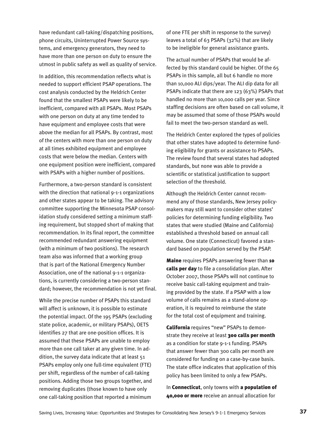have redundant call-taking/dispatching positions, phone circuits, Uninterrupted Power Source systems, and emergency generators, they need to have more than one person on duty to ensure the utmost in public safety as well as quality of service.

In addition, this recommendation reflects what is needed to support efficient PSAP operations. The cost analysis conducted by the Heldrich Center found that the smallest PSAPs were likely to be inefficient, compared with all PSAPs. Most PSAPs with one person on duty at any time tended to have equipment and employee costs that were above the median for all PSAPs. By contrast, most of the centers with more than one person on duty at all times exhibited equipment and employee costs that were below the median. Centers with one equipment position were inefficient, compared with PSAPs with a higher number of positions.

Furthermore, a two-person standard is consistent with the direction that national 9-1-1 organizations and other states appear to be taking. The advisory committee supporting the Minnesota PSAP consolidation study considered setting a minimum staffing requirement, but stopped short of making that recommendation. In its final report, the committee recommended redundant answering equipment (with a minimum of two positions). The research team also was informed that a working group that is part of the National Emergency Number Association, one of the national 9-1-1 organizations, is currently considering a two-person standard; however, the recommendation is not yet final.

While the precise number of PSAPs this standard will affect is unknown, it is possible to estimate the potential impact. Of the 195 PSAPs (excluding state police, academic, or military PSAPs), OETS identifies 27 that are one-position offices. It is assumed that these PSAPs are unable to employ more than one call taker at any given time. In addition, the survey data indicate that at least 51 PSAPs employ only one full-time equivalent (FTE) per shift, regardless of the number of call-taking positions. Adding those two groups together, and removing duplicates (those known to have only one call-taking position that reported a minimum

of one FTE per shift in response to the survey) leaves a total of 63 PSAPs (32%) that are likely to be ineligible for general assistance grants.

The actual number of PSAPs that would be affected by this standard could be higher. Of the 65 PSAPs in this sample, all but 6 handle no more than 10,000 ALI dips/year. The ALI dip data for all PSAPs indicate that there are 123 (63%) PSAPs that handled no more than 10,000 calls per year. Since staffing decisions are often based on call volume, it may be assumed that some of those PSAPs would fail to meet the two-person standard as well.

The Heldrich Center explored the types of policies that other states have adopted to determine funding eligibility for grants or assistance to PSAPs. The review found that several states had adopted standards, but none was able to provide a scientific or statistical justification to support selection of the threshold.

Although the Heldrich Center cannot recommend any of those standards, New Jersey policymakers may still want to consider other states' policies for determining funding eligibility. Two states that were studied (Maine and California) established a threshold based on annual call volume. One state (Connecticut) favored a standard based on population served by the PSAP.

Maine requires PSAPs answering fewer than 10 calls per day to file a consolidation plan. After October 2007, those PSAPs will not continue to receive basic call-taking equipment and training provided by the state. If a PSAP with a low volume of calls remains as a stand-alone operation, it is required to reimburse the state for the total cost of equipment and training.

California requires "new" PSAPs to demonstrate they receive at least 300 calls per month as a condition for state 9-1-1 funding. PSAPs that answer fewer than 300 calls per month are considered for funding on a case-by-case basis. The state office indicates that application of this policy has been limited to only a few PSAPs.

In **Connecticut**, only towns with a **population of** 40,000 or more receive an annual allocation for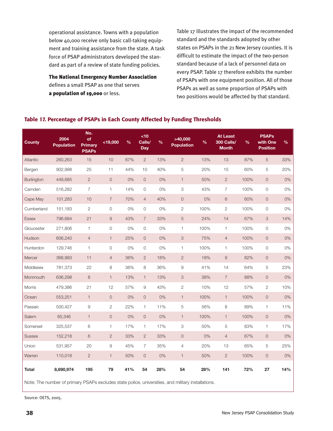operational assistance. Towns with a population below 40,000 receive only basic call-taking equipment and training assistance from the state. A task force of PSAP administrators developed the standard as part of a review of state funding policies.

The National Emergency Number Association defines a small PSAP as one that serves a population of 19,000 or less.

Table 17 illustrates the impact of the recommended standard and the standards adopted by other states on PSAPs in the 21 New Jersey counties. It is difficult to estimate the impact of the two-person standard because of a lack of personnel data on every PSAP. Table 17 therefore exhibits the number of PSAPs with one equipment position. All of those PSAPs as well as some proportion of PSAPs with two positions would be affected by that standard.

#### Table 17. Percentage of PSAPs in Each County Affected by Funding Thresholds

| <b>County</b> | 2004<br><b>Population</b> | No.<br>of<br><b>Primary</b><br><b>PSAPs</b> | $<$ 19,000          | $\frac{0}{0}$ | <10<br>Calls/<br><b>Day</b> | $\frac{0}{0}$ | >40,000<br><b>Population</b> | $\frac{9}{6}$ | <b>At Least</b><br><b>300 Calls/</b><br><b>Month</b> | $\frac{9}{6}$ | <b>PSAPs</b><br>with One<br><b>Position</b> | $\%$ |
|---------------|---------------------------|---------------------------------------------|---------------------|---------------|-----------------------------|---------------|------------------------------|---------------|------------------------------------------------------|---------------|---------------------------------------------|------|
| Atlantic      | 260,263                   | 15                                          | 10                  | 67%           | $\overline{2}$              | 13%           | $\overline{2}$               | 13%           | 13                                                   | 87%           | 5                                           | 33%  |
| Bergen        | 902,998                   | 25                                          | 11                  | 44%           | 10                          | 40%           | 5                            | 20%           | 15                                                   | 60%           | 5                                           | 20%  |
| Burlington    | 449,685                   | $\sqrt{2}$                                  | $\mathsf{O}\xspace$ | 0%            | $\overline{0}$              | 0%            | $\mathbf{1}$                 | 50%           | $\sqrt{2}$                                           | 100%          | $\circ$                                     | 0%   |
| Camden        | 516,282                   | $\overline{7}$                              | 1                   | 14%           | $\mathbf 0$                 | 0%            | 3                            | 43%           | 7                                                    | 100%          | $\mathsf{O}$                                | 0%   |
| Cape May      | 101,283                   | 10                                          | $\overline{7}$      | 70%           | $\overline{4}$              | 40%           | $\mathsf{O}$                 | 0%            | $\,6\,$                                              | 60%           | $\mathsf{O}$                                | 0%   |
| Cumberland    | 151,183                   | $\sqrt{2}$                                  | $\circ$             | 0%            | 0                           | 0%            | $\mathbf{2}$                 | 100%          | $\overline{c}$                                       | 100%          | $\mathsf{O}\xspace$                         | 0%   |
| <b>Essex</b>  | 796,684                   | 21                                          | $\hbox{9}$          | 43%           | $\overline{7}$              | 33%           | $\sqrt{5}$                   | 24%           | 14                                                   | 67%           | 3                                           | 14%  |
| Gloucester    | 271,806                   | 1                                           | $\mathsf{O}\xspace$ | 0%            | $\mathbf 0$                 | 0%            | 1                            | 100%          | 1                                                    | 100%          | $\mathsf{O}\xspace$                         | 0%   |
| Hudson        | 606,240                   | $\overline{4}$                              | $\mathbf{1}$        | 25%           | $\overline{0}$              | $0\%$         | $\ensuremath{\mathsf{3}}$    | 75%           | $\overline{4}$                                       | 100%          | $\circ$                                     | 0%   |
| Hunterdon     | 129,746                   | 1                                           | $\mathsf{O}$        | 0%            | $\mathbf 0$                 | 0%            | 1                            | 100%          | $\mathbf{1}$                                         | 100%          | $\mathsf{O}\xspace$                         | 0%   |
| Mercer        | 368,993                   | 11                                          | $\overline{4}$      | 36%           | $\overline{2}$              | 18%           | $\sqrt{2}$                   | 18%           | $\hbox{9}$                                           | 82%           | $\mathsf{O}\xspace$                         | 0%   |
| Middlesex     | 781.373                   | 22                                          | 8                   | 36%           | 8                           | 36%           | 9                            | 41%           | 14                                                   | 64%           | 5                                           | 23%  |
| Monmouth      | 636,298                   | 8                                           | $\mathbf{1}$        | 13%           | $\mathbf{1}$                | 13%           | 3                            | 38%           | $\overline{7}$                                       | 88%           | $\circ$                                     | 0%   |
| Morris        | 479,386                   | 21                                          | 12                  | 57%           | 9                           | 43%           | $\overline{c}$               | 10%           | 12                                                   | 57%           | $\overline{c}$                              | 10%  |
| Ocean         | 553,251                   | $\mathbf{1}$                                | $\mathsf{O}$        | 0%            | $\overline{0}$              | 0%            | $\mathbf{1}$                 | 100%          | $\mathbf{1}$                                         | 100%          | $\mathsf{O}$                                | 0%   |
| Passaic       | 500,427                   | $\hbox{9}$                                  | $\overline{c}$      | 22%           | 1                           | 11%           | $\mathbf 5$                  | 56%           | 8                                                    | 89%           | $\mathbf{1}$                                | 11%  |
| Salem         | 65,346                    | $\mathbf{1}$                                | $\mathsf{O}$        | $0\%$         | $\mathsf{O}$                | 0%            | $\mathbf{1}$                 | 100%          | $\mathbf{1}$                                         | 100%          | $\mathsf{O}$                                | 0%   |
| Somerset      | 325,537                   | 6                                           | 1                   | 17%           | $\mathbf{1}$                | 17%           | 3                            | 50%           | 5                                                    | 83%           | 1                                           | 17%  |
| <b>Sussex</b> | 152,218                   | $6\phantom{.}6$                             | $\sqrt{2}$          | 33%           | $\overline{2}$              | 33%           | $\mathsf{O}\xspace$          | 0%            | $\overline{4}$                                       | 67%           | $\circ$                                     | 0%   |
| Union         | 531,957                   | 20                                          | 9                   | 45%           | 7                           | 35%           | 4                            | 20%           | 13                                                   | 65%           | 5                                           | 25%  |
| Warren        | 110,018                   | $\sqrt{2}$                                  | $\mathbf{1}$        | 50%           | $\overline{0}$              | 0%            | $\mathbf{1}$                 | 50%           | $\sqrt{2}$                                           | 100%          | $\mathsf{O}\xspace$                         | 0%   |
| <b>Total</b>  | 8,690,974                 | 195                                         | 79                  | 41%           | 54                          | 28%           | 54                           | 28%           | 141                                                  | 72%           | 27                                          | 14%  |

Note: The number of primary PSAPs excludes state police, universities, and military installations.

Source: OETS, 2005.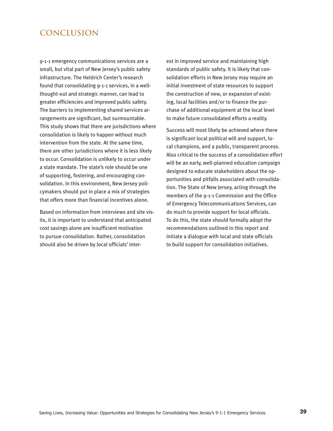# **CONCLUSION**

9-1-1 emergency communications services are a small, but vital part of New Jersey's public safety infrastructure. The Heldrich Center's research found that consolidating 9-1-1 services, in a wellthought-out and strategic manner, can lead to greater efficiencies and improved public safety. The barriers to implementing shared services arrangements are significant, but surmountable. This study shows that there are jurisdictions where consolidation is likely to happen without much intervention from the state. At the same time, there are other jurisdictions where it is less likely to occur. Consolidation is unlikely to occur under a state mandate. The state's role should be one of supporting, fostering, and encouraging consolidation. In this environment, New Jersey policymakers should put in place a mix of strategies that offers more than financial incentives alone.

Based on information from interviews and site visits, it is important to understand that anticipated cost savings alone are insufficient motivation to pursue consolidation. Rather, consolidation should also be driven by local officials' interest in improved service and maintaining high standards of public safety. It is likely that consolidation efforts in New Jersey may require an initial investment of state resources to support the construction of new, or expansion of existing, local facilities and/or to finance the purchase of additional equipment at the local level to make future consolidated efforts a reality.

Success will most likely be achieved where there is significant local political will and support, local champions, and a public, transparent process. Also critical to the success of a consolidation effort will be an early, well-planned education campaign designed to educate stakeholders about the opportunities and pitfalls associated with consolidation. The State of New Jersey, acting through the members of the 9-1-1 Commission and the Office of Emergency Telecommunications Services, can do much to provide support for local officials. To do this, the state should formally adopt the recommendations outlined in this report and initiate a dialogue with local and state officials to build support for consolidation initiatives.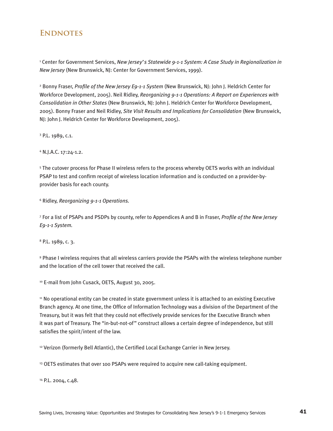# **ENDNOTES**

1 Center for Government Services, *New Jersey's Statewide 9-1-1 System: A Case Study in Regionalization in New Jersey* (New Brunswick, NJ: Center for Government Services, 1999).

2 Bonny Fraser, *Profile of the New Jersey E9-1-1 System* (New Brunswick, NJ: John J. Heldrich Center for Workforce Development, 2005). Neil Ridley, *Reorganizing 9-1-1 Operations: A Report on Experiences with Consolidation in Other States* (New Brunswick, NJ: John J. Heldrich Center for Workforce Development, 2005). Bonny Fraser and Neil Ridley, *Site Visit Results and Implications for Consolidation* (New Brunswick, NJ: John J. Heldrich Center for Workforce Development, 2005).

<sup>3</sup> P.L. 1989, c.1.

4 N.J.A.C. 17:24-1.2.

5 The cutover process for Phase II wireless refers to the process whereby OETS works with an individual PSAP to test and confirm receipt of wireless location information and is conducted on a provider-byprovider basis for each county.

6 Ridley, *Reorganizing 9-1-1 Operations.*

7 For a list of PSAPs and PSDPs by county, refer to Appendices A and B in Fraser, *Profile of the New Jersey E9-1-1 System.*

8 P.L. 1989, c. 3.

9 Phase I wireless requires that all wireless carriers provide the PSAPs with the wireless telephone number and the location of the cell tower that received the call.

10 E-mail from John Cusack, OETS, August 30, 2005.

11 No operational entity can be created in state government unless it is attached to an existing Executive Branch agency. At one time, the Office of Information Technology was a division of the Department of the Treasury, but it was felt that they could not effectively provide services for the Executive Branch when it was part of Treasury. The "in-but-not-of" construct allows a certain degree of independence, but still satisfies the spirit/intent of the law.

<sup>12</sup> Verizon (formerly Bell Atlantic), the Certified Local Exchange Carrier in New Jersey.

<sup>13</sup> OETS estimates that over 100 PSAPs were required to acquire new call-taking equipment.

14 P.L. 2004, c.48.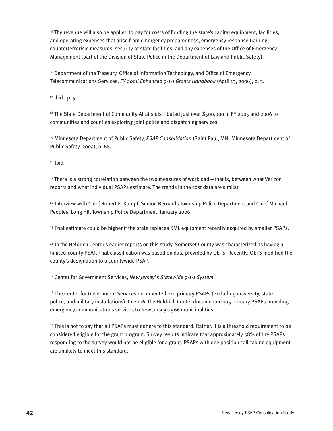<sup>15</sup> The revenue will also be applied to pay for costs of funding the state's capital equipment, facilities, and operating expenses that arise from emergency preparedness, emergency response training, counterterrorism measures, security at state facilities, and any expenses of the Office of Emergency Management (part of the Division of State Police in the Department of Law and Public Safety).

<sup>16</sup> Department of the Treasury, Office of Information Technology, and Office of Emergency Telecommunications Services, *FY 2006 Enhanced 9-1-1 Grants Handbook* (April 13, 2006), p. 3.

<sup>17</sup> Ibid., p. 5.

<sup>18</sup> The State Department of Community Affairs distributed just over \$500,000 in FY 2005 and 2006 to communities and counties exploring joint police and dispatching services.

19 Minnesota Department of Public Safety, *PSAP Consolidation* (Saint Paul, MN: Minnesota Department of Public Safety, 2004), p. 68.

20 Ibid*.*

<sup>21</sup> There is a strong correlation between the two measures of workload—that is, between what Verizon reports and what individual PSAPs estimate. The trends in the cost data are similar.

22 Interview with Chief Robert E. Kumpf, Senior, Bernards Township Police Department and Chief Michael Peoples, Long Hill Township Police Department, January 2006.

<sup>23</sup> That estimate could be higher if the state replaces KML equipment recently acquired by smaller PSAPs.

<sup>24</sup> In the Heldrich Center's earlier reports on this study, Somerset County was characterized as having a limited-county PSAP. That classification was based on data provided by OETS. Recently, OETS modified the county's designation to a countywide PSAP.

25 Center for Government Services, *New Jersey's Statewide 9-1-1 System*.

<sup>26</sup> The Center for Government Services documented 210 primary PSAPs (excluding university, state police, and military installations). In 2006, the Heldrich Center documented 195 primary PSAPs providing emergency communications services to New Jersey's 566 municipalities.

<sup>27</sup> This is not to say that all PSAPs must adhere to this standard. Rather, it is a threshold requirement to be considered eligible for the grant program. Survey results indicate that approximately 58% of the PSAPs responding to the survey would not be eligible for a grant. PSAPs with one position call-taking equipment are unlikely to meet this standard.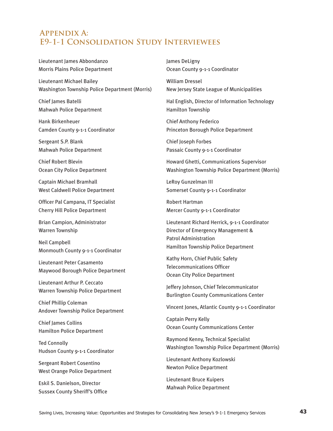# **Appendix A: E9-1-1 Consolidation Study Interviewees**

Lieutenant James Abbondanzo Morris Plains Police Department

Lieutenant Michael Bailey Washington Township Police Department (Morris)

Chief James Batelli Mahwah Police Department

Hank Birkenheuer Camden County 9-1-1 Coordinator

Sergeant S.P. Blank Mahwah Police Department

Chief Robert Blevin Ocean City Police Department

Captain Michael Bramhall West Caldwell Police Department

Officer Pal Campana, IT Specialist Cherry Hill Police Department

Brian Campion, Administrator Warren Township

Neil Campbell Monmouth County 9-1-1 Coordinator

Lieutenant Peter Casamento Maywood Borough Police Department

Lieutenant Arthur P. Ceccato Warren Township Police Department

Chief Phillip Coleman Andover Township Police Department

Chief James Collins Hamilton Police Department

Ted Connolly Hudson County 9-1-1 Coordinator

Sergeant Robert Cosentino West Orange Police Department

Eskil S. Danielson, Director Sussex County Sheriff's Office James DeLigny Ocean County 9-1-1 Coordinator

William Dressel New Jersey State League of Municipalities

Hal English, Director of Information Technology Hamilton Township

Chief Anthony Federico Princeton Borough Police Department

Chief Joseph Forbes Passaic County 9-1-1 Coordinator

Howard Ghetti, Communications Supervisor Washington Township Police Department (Morris)

LeRoy Gunzelman III Somerset County 9-1-1 Coordinator

Robert Hartman Mercer County 9-1-1 Coordinator

Lieutenant Richard Herrick, 9-1-1 Coordinator Director of Emergency Management & Patrol Administration Hamilton Township Police Department

Kathy Horn, Chief Public Safety Telecommunications Officer Ocean City Police Department

Jeffery Johnson, Chief Telecommunicator Burlington County Communications Center

Vincent Jones, Atlantic County 9-1-1 Coordinator

Captain Perry Kelly Ocean County Communications Center

Raymond Kenny, Technical Specialist Washington Township Police Department (Morris)

Lieutenant Anthony Kozlowski Newton Police Department

Lieutenant Bruce Kuipers Mahwah Police Department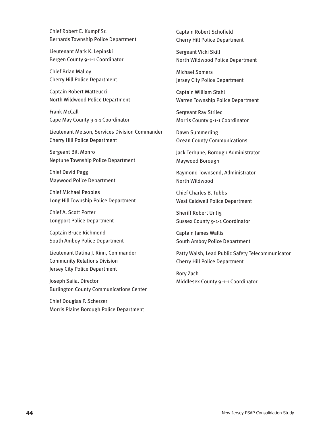Chief Robert E. Kumpf Sr. Bernards Township Police Department

Lieutenant Mark K. Lepinski Bergen County 9-1-1 Coordinator

Chief Brian Malloy Cherry Hill Police Department

Captain Robert Matteucci North Wildwood Police Department

Frank McCall Cape May County 9-1-1 Coordinator

Lieutenant Melson, Services Division Commander Cherry Hill Police Department

Sergeant Bill Monro Neptune Township Police Department

Chief David Pegg Maywood Police Department

Chief Michael Peoples Long Hill Township Police Department

Chief A. Scott Porter Longport Police Department

Captain Bruce Richmond South Amboy Police Department

Lieutenant Datina J. Rinn, Commander Community Relations Division Jersey City Police Department

Joseph Saiia, Director Burlington County Communications Center

Chief Douglas P. Scherzer Morris Plains Borough Police Department Captain Robert Schofield Cherry Hill Police Department

Sergeant Vicki Skill North Wildwood Police Department

Michael Somers Jersey City Police Department

Captain William Stahl Warren Township Police Department

Sergeant Ray Strilec Morris County 9-1-1 Coordinator

Dawn Summerling Ocean County Communications

Jack Terhune, Borough Administrator Maywood Borough

Raymond Townsend, Administrator North Wildwood

Chief Charles B. Tubbs West Caldwell Police Department

Sheriff Robert Untig Sussex County 9-1-1 Coordinator

Captain James Wallis South Amboy Police Department

Patty Walsh, Lead Public Safety Telecommunicator Cherry Hill Police Department

Rory Zach Middlesex County 9-1-1 Coordinator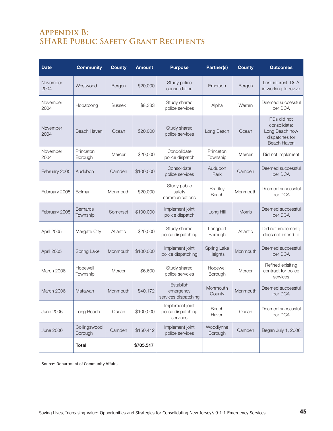# **Appendix B: SHARE Public Safety Grant Recipients**

| <b>Date</b>      | <b>Community</b>            | <b>County</b> | <b>Amount</b> | <b>Purpose</b>                                    | Partner(s)              | <b>County</b> | <b>Outcomes</b>                                                                       |
|------------------|-----------------------------|---------------|---------------|---------------------------------------------------|-------------------------|---------------|---------------------------------------------------------------------------------------|
| November<br>2004 | Westwood                    | Bergen        | \$20,000      | Study police<br>consolidation                     | Emerson                 | Bergen        | Lost interest, DCA<br>is working to revive                                            |
| November<br>2004 | Hopatcong                   | <b>Sussex</b> | \$8,333       | Study shared<br>police services                   | Alpha                   | Warren        | Deemed successful<br>per DCA                                                          |
| November<br>2004 | <b>Beach Haven</b>          | Ocean         | \$20,000      | Study shared<br>police services                   | Long Beach              | Ocean         | PDs did not<br>consolidate;<br>Long Beach now<br>dispatches for<br><b>Beach Haven</b> |
| November<br>2004 | Princeton<br>Borough        | Mercer        | \$20,000      | Condolidate<br>police dispatch                    | Princeton<br>Township   | Mercer        | Did not implement                                                                     |
| February 2005    | Audubon                     | Camden        | \$100,000     | Consolidate<br>police services                    | Audubon<br>Park         | Camden        | Deemed successful<br>per DCA                                                          |
| February 2005    | Belmar                      | Monmouth      | \$20,000      | Study public<br>safety<br>communications          | <b>Bradley</b><br>Beach | Monmouth      | Deemed successful<br>per DCA                                                          |
| February 2005    | <b>Bernards</b><br>Township | Somerset      | \$100,000     | Implement joint<br>police dispatch                | Long Hill               | Morris        | Deemed successful<br>per DCA                                                          |
| April 2005       | Margate City                | Atlantic      | \$20,000      | Study shared<br>police dispatching                | Longport<br>Borough     | Atlantic      | Did not implement;<br>does not intend to                                              |
| April 2005       | Spring Lake                 | Monmouth      | \$100,000     | Implement joint<br>police dispatching             | Spring Lake<br>Heights  | Monmouth      | Deemed successful<br>per DCA                                                          |
| March 2006       | Hopewell<br>Township        | Mercer        | \$6,600       | Study shared<br>police servcies                   | Hopewell<br>Borough     | Mercer        | Refined exisiting<br>contract for police<br>services                                  |
| March 2006       | Matawan                     | Monmouth      | \$40,172      | Establish<br>emergency<br>services dispatching    | Monmouth<br>County      | Monmouth      | Deemed successful<br>per DCA                                                          |
| <b>June 2006</b> | Long Beach                  | Ocean         | \$100,000     | Implement joint<br>police dispatching<br>services | Beach<br>Haven          | Ocean         | Deemed successful<br>per DCA                                                          |
| <b>June 2006</b> | Collingswood<br>Borough     | Camden        | \$150,412     | Implement joint<br>police services                | Woodlynne<br>Borough    | Camden        | Began July 1, 2006                                                                    |
|                  | <b>Total</b>                |               | \$705,517     |                                                   |                         |               |                                                                                       |

Source: Department of Community Affairs.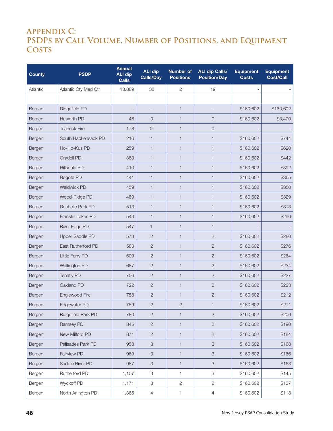# **Appendix C: PSDPs by Call Volume, Number of Positions, and Equipment Costs**

| <b>County</b> | <b>PSDP</b>          | <b>Annual</b><br><b>ALI dip</b><br><b>Calls</b> | <b>ALI dip</b><br><b>Calls/Day</b> | <b>Number of</b><br><b>Positions</b> | <b>ALI dip Calls/</b><br><b>Position/Day</b> | <b>Equipment</b><br><b>Costs</b> | <b>Equipment</b><br><b>Cost/Call</b> |
|---------------|----------------------|-------------------------------------------------|------------------------------------|--------------------------------------|----------------------------------------------|----------------------------------|--------------------------------------|
| Atlantic      | Atlantic Cty Med Ctr | 13,889                                          | 38                                 | 2                                    | 19                                           |                                  |                                      |
|               |                      |                                                 |                                    |                                      |                                              |                                  |                                      |
| Bergen        | Ridgefield PD        |                                                 |                                    | $\mathbf{1}$                         |                                              | \$160,602                        | \$160,602                            |
| Bergen        | Haworth PD           | 46                                              | $\mathbf 0$                        | $\mathbf{1}$                         | 0                                            | \$160,602                        | \$3,470                              |
| Bergen        | <b>Teaneck Fire</b>  | 178                                             | $\mathbf 0$                        | $\mathbf{1}$                         | 0                                            |                                  |                                      |
| Bergen        | South Hackensack PD  | 216                                             | 1                                  | $\mathbf{1}$                         | 1                                            | \$160,602                        | \$744                                |
| Bergen        | Ho-Ho-Kus PD         | 259                                             | 1                                  | $\mathbf{1}$                         | 1                                            | \$160,602                        | \$620                                |
| Bergen        | Oradell PD           | 363                                             | 1                                  | $\mathbf{1}$                         | $\mathbf{1}$                                 | \$160,602                        | \$442                                |
| Bergen        | Hillsdale PD         | 410                                             | 1                                  | $\mathbf{1}$                         | 1                                            | \$160,602                        | \$392                                |
| Bergen        | Bogota PD            | 441                                             | 1                                  | $\mathbf{1}$                         | $\mathbf{1}$                                 | \$160,602                        | \$365                                |
| Bergen        | Waldwick PD          | 459                                             | 1                                  | $\mathbf{1}$                         | 1                                            | \$160,602                        | \$350                                |
| Bergen        | Wood-Ridge PD        | 489                                             | 1                                  | $\mathbf{1}$                         | $\mathbf{1}$                                 | \$160,602                        | \$329                                |
| Bergen        | Rochelle Park PD     | 513                                             | 1                                  | $\mathbf{1}$                         | 1                                            | \$160,602                        | \$313                                |
| Bergen        | Franklin Lakes PD    | 543                                             | 1                                  | $\mathbf{1}$                         | $\mathbf{1}$                                 | \$160,602                        | \$296                                |
| Bergen        | River Edge PD        | 547                                             | $\mathbf{1}$                       | $\mathbf{1}$                         | 1                                            |                                  |                                      |
| Bergen        | Upper Saddle PD      | 573                                             | $\overline{2}$                     | $\mathbf{1}$                         | $\overline{2}$                               | \$160,602                        | \$280                                |
| Bergen        | East Rutherford PD   | 583                                             | $\overline{2}$                     | $\mathbf{1}$                         | $\mathbf{2}$                                 | \$160,602                        | \$276                                |
| Bergen        | Little Ferry PD      | 609                                             | $\overline{2}$                     | $\mathbf{1}$                         | $\mathbf{2}$                                 | \$160,602                        | \$264                                |
| Bergen        | Wallington PD        | 687                                             | $\overline{2}$                     | $\mathbf{1}$                         | $\mathbf{2}$                                 | \$160,602                        | \$234                                |
| Bergen        | <b>Tenafly PD</b>    | 706                                             | $\mathbf{2}$                       | $\mathbf{1}$                         | $\overline{2}$                               | \$160,602                        | \$227                                |
| Bergen        | Oakland PD           | 722                                             | $\overline{2}$                     | $\mathbf{1}$                         | $\mathbf{2}$                                 | \$160,602                        | \$223                                |
| Bergen        | Englewood Fire       | 758                                             | $\mathbf{2}$                       | $\mathbf{1}$                         | $\mathbf{2}$                                 | \$160,602                        | \$212                                |
| Bergen        | Edgewater PD         | 759                                             | $\overline{2}$                     | $\overline{2}$                       | 1                                            | \$160,602                        | \$211                                |
| Bergen        | Ridgefield Park PD   | 780                                             | $\sqrt{2}$                         | $\mathbf{1}$                         | $\overline{c}$                               | \$160,602                        | \$206                                |
| Bergen        | Ramsey PD            | 845                                             | $\sqrt{2}$                         | $\mathbf{1}$                         | $\mathbf{2}$                                 | \$160,602                        | \$190                                |
| Bergen        | New Milford PD       | 871                                             | $\sqrt{2}$                         | $\mathbf{1}$                         | $\mathbf{2}$                                 | \$160,602                        | \$184                                |
| Bergen        | Palisades Park PD    | 958                                             | $\ensuremath{\mathsf{3}}$          | $\mathbf{1}$                         | 3                                            | \$160,602                        | \$168                                |
| Bergen        | Fairview PD          | 969                                             | $\ensuremath{\mathsf{3}}$          | $\mathbf{1}$                         | 3                                            | \$160,602                        | \$166                                |
| Bergen        | Saddle River PD      | 987                                             | $\ensuremath{\mathsf{3}}$          | $\mathbf{1}$                         | 3                                            | \$160,602                        | \$163                                |
| Bergen        | Rutherford PD        | 1,107                                           | $\ensuremath{\mathsf{3}}$          | 1                                    | 3                                            | \$160,602                        | \$145                                |
| Bergen        | Wyckoff PD           | 1,171                                           | $\ensuremath{\mathsf{3}}$          | $\overline{c}$                       | $\mathbf{2}$                                 | \$160,602                        | \$137                                |
| Bergen        | North Arlington PD   | 1,365                                           | $\overline{4}$                     | $\mathbf 1$                          | $\overline{4}$                               | \$160,602                        | \$118                                |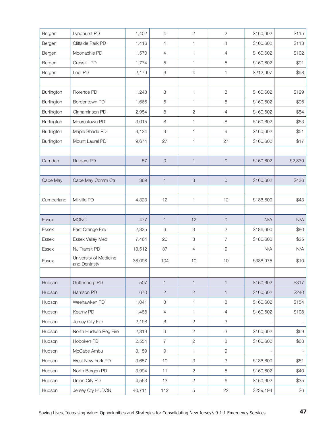| Bergen       | Lyndhurst PD                            | 1,402  | $\overline{4}$ | $\overline{c}$            | $\overline{c}$      | \$160,602 | \$115   |
|--------------|-----------------------------------------|--------|----------------|---------------------------|---------------------|-----------|---------|
| Bergen       | Cliffside Park PD                       | 1,416  | $\overline{4}$ | 1                         | 4                   | \$160,602 | \$113   |
| Bergen       | Moonachie PD                            | 1,570  | $\overline{4}$ | $\mathbf{1}$              | 4                   | \$160,602 | \$102   |
| Bergen       | Cresskill PD                            | 1,774  | 5              | $\mathbf{1}$              | 5                   | \$160,602 | \$91    |
| Bergen       | Lodi PD                                 | 2,179  | 6              | $\overline{4}$            | 1                   | \$212,997 | \$98    |
|              |                                         |        |                |                           |                     |           |         |
| Burlington   | Florence PD                             | 1,243  | 3              | $\mathbf{1}$              | 3                   | \$160,602 | \$129   |
| Burlington   | Bordentown PD                           | 1,666  | 5              | 1                         | 5                   | \$160,602 | \$96    |
| Burlington   | Cinnaminson PD                          | 2,954  | 8              | $\mathbf{2}$              | 4                   | \$160,602 | \$54    |
| Burlington   | Moorestown PD                           | 3,015  | 8              | $\mathbf{1}$              | 8                   | \$160,602 | \$53    |
| Burlington   | Maple Shade PD                          | 3,134  | $\hbox{9}$     | $\mathbf{1}$              | $\hbox{9}$          | \$160,602 | \$51    |
| Burlington   | Mount Laurel PD                         | 9,674  | 27             | $\mathbf{1}$              | 27                  | \$160,602 | \$17    |
|              |                                         |        |                |                           |                     |           |         |
| Camden       | <b>Rutgers PD</b>                       | 57     | $\mathsf O$    | $\mathbf{1}$              | $\overline{0}$      | \$160,602 | \$2,839 |
|              |                                         |        |                |                           |                     |           |         |
| Cape May     | Cape May Comm Ctr                       | 369    | $\mathbf{1}$   | $\ensuremath{\mathsf{3}}$ | $\mathsf O$         | \$160,602 | \$436   |
|              |                                         |        |                |                           |                     |           |         |
| Cumberland   | Millville PD                            | 4,323  | 12             | $\mathbf{1}$              | 12                  | \$186,600 | \$43    |
|              |                                         |        |                |                           |                     |           |         |
| <b>Essex</b> | <b>MONC</b>                             | 477    | $\mathbf{1}$   | 12                        | $\mathsf{O}\xspace$ | N/A       | N/A     |
| Essex        | East Orange Fire                        | 2,335  | 6              | 3                         | $\overline{c}$      | \$186,600 | \$80    |
| Essex        | Essex Valley Med                        | 7,464  | 20             | 3                         | 7                   | \$186,600 | \$25    |
| Essex        | NJ Transit PD                           |        |                |                           |                     |           |         |
|              |                                         | 13,512 | 37             | $\overline{4}$            | 9                   | N/A       | N/A     |
| Essex        | University of Medicine<br>and Dentristy | 38,098 | 104            | 10                        | 10                  | \$388,975 | \$10    |
|              |                                         |        |                |                           |                     |           |         |
| Hudson       | Guttenberg PD                           | 507    | $\mathbf{1}$   | $\mathbf{1}$              | $\mathbf{1}$        | \$160,602 | \$317   |
| Hudson       | Harrison PD                             | 670    | $\overline{c}$ | $\mathbf{2}$              | $\mathbf{1}$        | \$160,602 | \$240   |
| Hudson       | Weehawken PD                            | 1,041  | 3              | 1                         | $\mbox{3}$          | \$160,602 | \$154   |
| Hudson       | Kearny PD                               | 1,488  | $\overline{4}$ | $\mathbf{1}$              | $\overline{4}$      | \$160,602 | \$108   |
| Hudson       | Jersey City Fire                        | 2,198  | 6              | $\overline{c}$            | 3                   |           |         |
| Hudson       | North Hudson Reg Fire                   | 2,319  | 6              | $\overline{2}$            | 3                   | \$160,602 | \$69    |
| Hudson       | Hoboken PD                              | 2,554  | $\overline{7}$ | $\overline{c}$            | 3                   | \$160,602 | \$63    |
| Hudson       | McCabe Ambu                             | 3,159  | $\hbox{9}$     | 1                         | $\hbox{9}$          |           |         |
| Hudson       | West New York PD                        | 3,657  | 10             | 3                         | 3                   | \$186,600 | \$51    |
| Hudson       | North Bergen PD                         | 3,994  | 11             | $\overline{c}$            | 5                   | \$160,602 | \$40    |
| Hudson       | Union City PD                           | 4,563  | 13             | $\overline{c}$            | 6                   | \$160,602 | \$35    |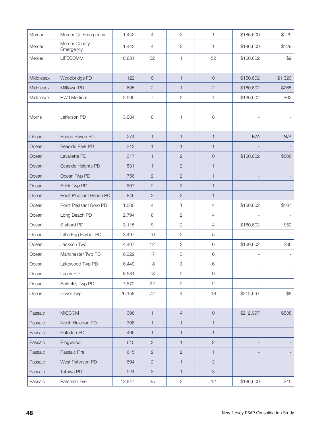| Mercer    | Mercer Co Emergency        | 1,442  | $\overline{4}$                                                                                         | 3                         | 1                         | \$186,600 | \$129   |
|-----------|----------------------------|--------|--------------------------------------------------------------------------------------------------------|---------------------------|---------------------------|-----------|---------|
| Mercer    | Mercer County<br>Emergency | 1,442  | 4                                                                                                      | 3                         | 1                         | \$186,600 | \$129   |
| Mercer    | LIFECOMM                   | 18,881 | 52                                                                                                     | 1                         | 52                        | \$160,602 | \$9     |
|           |                            |        |                                                                                                        |                           |                           |           |         |
| Middlesex | Woodbridge FD              | 122    | $\mathsf O$                                                                                            | $\mathbf{1}$              | $\mathsf O$               | \$160,602 | \$1,320 |
| Middlesex | Milltown PD                | 605    | $\overline{c}$                                                                                         | $\mathbf{1}$              | $\overline{c}$            | \$160,602 | \$265   |
| Middlesex | <b>RWJ Medical</b>         | 2,590  | $\overline{7}$                                                                                         | $\mathbf{2}$              | 4                         | \$160,602 | \$62    |
|           |                            |        |                                                                                                        |                           |                           |           |         |
| Morris    | Jefferson PD               | 3,034  | $\,8\,$                                                                                                | 1                         | $\,8\,$                   |           |         |
|           |                            |        |                                                                                                        |                           |                           |           |         |
| Ocean     | Beach Haven PD             | 274    | $\mathbf{1}$                                                                                           | $\mathbf{1}$              | $\mathbf{1}$              | N/A       | N/A     |
| Ocean     | Seaside Park PD            | 312    | 1                                                                                                      | $\mathbf{1}$              | 1                         |           |         |
| Ocean     | Lavallette PD              | 317    | $\mathbf{1}$                                                                                           | $\mathbf{2}$              | $\mathsf O$               | \$160,602 | \$506   |
| Ocean     | Seaside Heights PD         | 531    | $\mathbf{1}$                                                                                           | $\mathbf{2}$              | $\mathbf{1}$              |           |         |
| Ocean     | Ocean Twp PD               | 756    | $\overline{c}$                                                                                         | $\mathbf{2}$              | 1                         |           |         |
| Ocean     | <b>Brick Twp PD</b>        | 807    | $\overline{c}$                                                                                         | $\ensuremath{\mathsf{3}}$ | 1                         |           |         |
| Ocean     | Point Pleasant Beach PD    | 849    | $\overline{c}$                                                                                         | $\mathbf{2}$              | 1                         |           |         |
| Ocean     | Point Pleasant Boro PD     | 1,500  | $\overline{4}$                                                                                         | 1                         | $\overline{4}$            | \$160,602 | \$107   |
| Ocean     | Long Beach PD              | 2,794  | 8                                                                                                      | $\mathbf{2}$              | 4                         |           |         |
| Ocean     | Stafford PD                | 3,115  | $\hbox{9}$                                                                                             | $\sqrt{2}$                | 4                         | \$160,602 | \$52    |
| Ocean     | Little Egg Harbor PD       | 3,497  | 10                                                                                                     | $\mathbf{2}$              | 5                         |           |         |
| Ocean     | Jackson Twp                | 4,407  | 12                                                                                                     | $\overline{c}$            | $\,$ 6 $\,$               | \$160,602 | \$36    |
| Ocean     | Manchester Twp PD          | 6,329  | 17                                                                                                     | 3                         | 6                         |           |         |
| Ocean     | Lakewood Twp PD            | 6,449  | 18                                                                                                     | 3                         | 6                         |           |         |
| Ocean     | Lacey PD                   | 6,581  | 18                                                                                                     | $\mathbf{2}$              | $\Theta$                  |           |         |
| Ocean     | Berkeley Twp PD            | 7,872  | 22                                                                                                     | $\mathbf{2}$              | 11                        |           |         |
| Ocean     | Dover Twp                  | 26,158 | 72                                                                                                     | $\overline{4}$            | 18                        | \$212,997 | \$8     |
|           |                            |        |                                                                                                        |                           |                           |           |         |
| Passaic   | <b>MICCOM</b>              | 396    | $\mathbf{1}$                                                                                           | $\overline{4}$            | $\mathsf O$               | \$212,997 | \$538   |
| Passaic   | North Haledon PD           | 398    | $\mathbf{1}$                                                                                           | $\mathbf{1}$              | 1                         |           |         |
| Passaic   | Haledon PD                 | 466    | $\mathbf{1}$                                                                                           | $\mathbf{1}$              | $\mathbf{1}$              |           |         |
| Passaic   | Ringwood                   | 615    | $\overline{2}$                                                                                         | $\mathbf{1}$              | $\mathbf{2}$              |           |         |
| Passaic   | Passaic Fire               | 615    | $\overline{2}$                                                                                         | $\sqrt{2}$                | $\mathbf{1}$              |           |         |
| Passaic   | West Paterson PD           | 694    | $\overline{2}$                                                                                         | $\mathbf{1}$              | $\mathbf{2}$              |           |         |
| Passaic   | Totowa PD                  | 924    | $\mathfrak{S}% _{A}^{\ast}=\mathfrak{S}_{A}\!\left( A;B\right) ,\ \mathfrak{S}_{A}\!\left( A;B\right)$ | $\mathbf{1}$              | $\ensuremath{\mathsf{3}}$ |           |         |
| Passaic   | Paterson Fire              | 12,847 | 35                                                                                                     | $\mbox{3}$                | 12                        | \$186,600 | \$15    |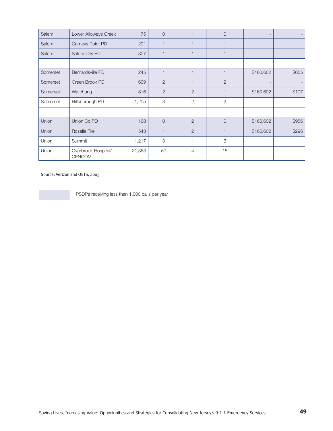| Salem    | Lower Alloways Creek                 | 75     | $\Omega$       |                | $\Omega$       |                          |       |
|----------|--------------------------------------|--------|----------------|----------------|----------------|--------------------------|-------|
| Salem    | Carneys Point PD                     | 201    |                |                |                | $\overline{\phantom{0}}$ |       |
| Salem    | Salem City PD                        | 307    |                |                |                |                          |       |
|          |                                      |        |                |                |                |                          |       |
| Somerset | Bernardsville PD                     | 245    |                |                | 1              | \$160,602                | \$655 |
| Somerset | Green Brook PD                       | 639    | 2              |                | $\overline{2}$ |                          |       |
| Somerset | Watchung                             | 816    | 2              | $\overline{2}$ |                | \$160,602                | \$197 |
| Somerset | Hillsborough PD                      | 1,205  | 3              | $\overline{2}$ | $\overline{2}$ |                          |       |
|          |                                      |        |                |                |                |                          |       |
| Union    | Union Co PD                          | 168    | $\overline{O}$ | $\overline{2}$ | $\overline{0}$ | \$160,602                | \$956 |
| Union    | <b>Roselle Fire</b>                  | 543    |                | $\overline{2}$ | 1              | \$160,602                | \$296 |
| Union    | Summit                               | 1,217  | 3              |                | 3              |                          |       |
| Union    | Overbrook Hospital/<br><b>CENCOM</b> | 21,363 | 59             | 4              | 15             |                          |       |

Source: Verizon and OETS, 2005

= PSDPs receiving less than 1,000 calls per year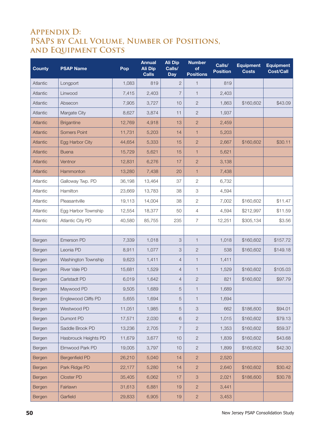# **Appendix D: PSAPs by Call Volume, Number of Positions, and Equipment Costs**

| <b>County</b> | <b>PSAP Name</b>        | Pop    | <b>Annual</b><br><b>Ali Dip</b><br><b>Calls</b> | <b>Ali Dip</b><br>Calls/<br><b>Day</b> | <b>Number</b><br>of<br><b>Positions</b> | Calls/<br><b>Position</b> | <b>Equipment</b><br><b>Costs</b> | <b>Equipment</b><br><b>Cost/Call</b> |
|---------------|-------------------------|--------|-------------------------------------------------|----------------------------------------|-----------------------------------------|---------------------------|----------------------------------|--------------------------------------|
| Atlantic      | Longport                | 1,083  | 819                                             | $\mathbf{2}$                           | $\mathbf 1$                             | 819                       |                                  |                                      |
| Atlantic      | Linwood                 | 7,415  | 2,403                                           | $\overline{7}$                         | $\mathbf{1}$                            | 2,403                     |                                  |                                      |
| Atlantic      | Absecon                 | 7,905  | 3,727                                           | 10                                     | $\mathbf{2}$                            | 1,863                     | \$160,602                        | \$43.09                              |
| Atlantic      | Margate City            | 8.627  | 3,874                                           | 11                                     | $\mathbf{2}$                            | 1,937                     |                                  |                                      |
| Atlantic      | <b>Brigantine</b>       | 12,769 | 4,918                                           | 13                                     | $\overline{2}$                          | 2,459                     |                                  |                                      |
| Atlantic      | <b>Somers Point</b>     | 11,731 | 5,203                                           | 14                                     | $\mathbf{1}$                            | 5,203                     |                                  |                                      |
| Atlantic      | Egg Harbor City         | 44,654 | 5,333                                           | 15                                     | $\overline{2}$                          | 2,667                     | \$160,602                        | \$30.11                              |
| Atlantic      | <b>Buena</b>            | 15,729 | 5,621                                           | 15                                     | $\mathbf{1}$                            | 5,621                     |                                  |                                      |
| Atlantic      | Ventnor                 | 12,831 | 6,276                                           | 17                                     | $\overline{2}$                          | 3,138                     |                                  |                                      |
| Atlantic      | Hammonton               | 13,280 | 7,438                                           | 20                                     | $\mathbf{1}$                            | 7,438                     |                                  |                                      |
| Atlantic      | Galloway Twp. PD        | 36,198 | 13,464                                          | 37                                     | $\mathbf{2}$                            | 6,732                     |                                  |                                      |
| Atlantic      | Hamilton                | 23,669 | 13,783                                          | 38                                     | $\ensuremath{\mathsf{3}}$               | 4,594                     |                                  |                                      |
| Atlantic      | Pleasantville           | 19,113 | 14,004                                          | 38                                     | $\overline{2}$                          | 7,002                     | \$160,602                        | \$11.47                              |
| Atlantic      | Egg Harbor Township     | 12,554 | 18,377                                          | 50                                     | $\overline{4}$                          | 4,594                     | \$212,997                        | \$11.59                              |
| Atlantic      | <b>Atlantic City PD</b> | 40,580 | 85,755                                          | 235                                    | $\overline{7}$                          | 12,251                    | \$305,134                        | \$3.56                               |
|               |                         |        |                                                 |                                        |                                         |                           |                                  |                                      |
| Bergen        | Emerson PD              | 7,339  | 1,018                                           | 3                                      | $\mathbf{1}$                            | 1,018                     | \$160,602                        | \$157.72                             |
| Bergen        | Leonia PD               | 8,911  | 1,077                                           | 3                                      | $\mathbf{2}$                            | 538                       | \$160,602                        | \$149.18                             |
| Bergen        | Washington Township     | 9,623  | 1,411                                           | $\overline{4}$                         | $\mathbf{1}$                            | 1,411                     |                                  |                                      |
| Bergen        | <b>River Vale PD</b>    | 15,681 | 1,529                                           | $\overline{4}$                         | $\mathbf{1}$                            | 1,529                     | \$160,602                        | \$105.03                             |
| Bergen        | Carlstadt PD            | 6,019  | 1,642                                           | $\overline{4}$                         | $\mathbf{2}$                            | 821                       | \$160,602                        | \$97.79                              |
| Bergen        | Maywood PD              | 9,505  | 1,689                                           | 5                                      | $\mathbf{1}$                            | 1,689                     |                                  |                                      |
| Bergen        | Englewood Cliffs PD     | 5,655  | 1,694                                           | 5                                      | 1                                       | 1,694                     |                                  |                                      |
| Bergen        | Westwood PD             | 11,051 | 1,985                                           | $\sqrt{5}$                             | $\ensuremath{\mathsf{3}}$               | 662                       | \$186,600                        | \$94.01                              |
| Bergen        | Dumont PD               | 17,571 | 2,030                                           | 6                                      | $\sqrt{2}$                              | 1,015                     | \$160,602                        | \$79.13                              |
| Bergen        | Saddle Brook PD         | 13,236 | 2,705                                           | 7                                      | $\mathbf{2}$                            | 1,353                     | \$160,602                        | \$59.37                              |
| Bergen        | Hasbrouck Heights PD    | 11,679 | 3,677                                           | 10                                     | $\sqrt{2}$                              | 1,839                     | \$160,602                        | \$43.68                              |
| Bergen        | Elmwood Park PD         | 19,005 | 3,797                                           | 10                                     | $\mathbf{2}$                            | 1,899                     | \$160,602                        | \$42.30                              |
| Bergen        | <b>Bergenfield PD</b>   | 26,210 | 5,040                                           | 14                                     | $\mathbf{2}$                            | 2,520                     |                                  |                                      |
| Bergen        | Park Ridge PD           | 22,177 | 5,280                                           | 14                                     | $\mathbf{2}$                            | 2,640                     | \$160,602                        | \$30.42                              |
| Bergen        | <b>Closter PD</b>       | 35,405 | 6,062                                           | 17                                     | $\ensuremath{\mathsf{3}}$               | 2,021                     | \$186,600                        | \$30.78                              |
| Bergen        | Fairlawn                | 31,613 | 6,881                                           | 19                                     | $\mathbf{2}$                            | 3,441                     |                                  |                                      |
| Bergen        | Garfield                | 29,833 | 6,905                                           | 19                                     | $\mathbf{2}$                            | 3,453                     |                                  |                                      |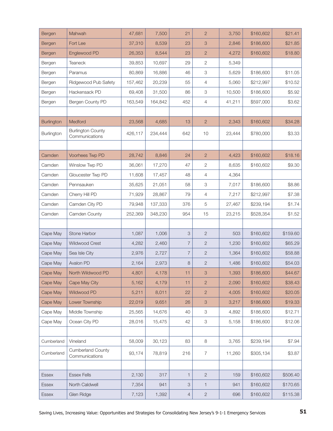| Bergen            | Mahwah                                     | 47,681  | 7,500   | 21             | $\overline{2}$            | 3,750  | \$160,602 | \$21.41  |
|-------------------|--------------------------------------------|---------|---------|----------------|---------------------------|--------|-----------|----------|
| Bergen            | Fort Lee                                   | 37,310  | 8,539   | 23             | 3                         | 2,846  | \$186,600 | \$21.85  |
| Bergen            | Englewood PD                               | 26,353  | 8,544   | 23             | $\overline{2}$            | 4,272  | \$160,602 | \$18.80  |
| Bergen            | <b>Teaneck</b>                             | 39,853  | 10,697  | 29             | $\overline{c}$            | 5,349  |           |          |
| Bergen            | Paramus                                    | 80,869  | 16,886  | 46             | 3                         | 5,629  | \$186,600 | \$11.05  |
| Bergen            | Ridgewood Pub Safety                       | 157,462 | 20,239  | 55             | 4                         | 5,060  | \$212,997 | \$10.52  |
| Bergen            | Hackensack PD                              | 69,408  | 31,500  | 86             | 3                         | 10,500 | \$186,600 | \$5.92   |
| Bergen            | Bergen County PD                           | 163,549 | 164,842 | 452            | 4                         | 41,211 | \$597,000 | \$3.62   |
|                   |                                            |         |         |                |                           |        |           |          |
| <b>Burlington</b> | Medford                                    | 23,568  | 4,685   | 13             | $\overline{c}$            | 2,343  | \$160,602 | \$34.28  |
| Burlington        | <b>Burlington County</b><br>Communications | 426,117 | 234,444 | 642            | 10                        | 23,444 | \$780,000 | \$3.33   |
|                   |                                            |         |         |                |                           |        |           |          |
| Camden            | Voorhees Twp PD                            | 28,742  | 8,846   | 24             | $\overline{2}$            | 4,423  | \$160,602 | \$18.16  |
| Camden            | Winslow Twp PD                             | 36,061  | 17,270  | 47             | 2                         | 8,635  | \$160,602 | \$9.30   |
| Camden            | Gloucester Twp PD                          | 11,608  | 17,457  | 48             | $\overline{4}$            | 4,364  |           |          |
| Camden            | Pennsauken                                 | 35,625  | 21,051  | 58             | 3                         | 7,017  | \$186,600 | \$8.86   |
| Camden            | Cherry Hill PD                             | 71,929  | 28,867  | 79             | $\overline{4}$            | 7,217  | \$212,997 | \$7.38   |
| Camden            | Camden City PD                             | 79,948  | 137,333 | 376            | 5                         | 27,467 | \$239,194 | \$1.74   |
| Camden            | Camden County                              | 252,369 | 348,230 | 954            | 15                        | 23,215 | \$528,354 | \$1.52   |
|                   |                                            |         |         |                |                           |        |           |          |
| Cape May          | Stone Harbor                               | 1,087   | 1,006   | 3              | $\mathbf{2}$              | 503    | \$160,602 | \$159.60 |
| Cape May          | Wildwood Crest                             | 4,282   | 2,460   | $\overline{7}$ | $\overline{2}$            | 1,230  | \$160,602 | \$65.29  |
| Cape May          | Sea Isle City                              | 2,976   | 2,727   | $\overline{7}$ | $\overline{2}$            | 1,364  | \$160,602 | \$58.88  |
| Cape May          | Avalon PD                                  | 2,164   | 2,973   | 8              | $\mathbf{2}$              | 1,486  | \$160,602 | \$54.03  |
| Cape May          | North Wildwood PD                          | 4,801   | 4,178   | 11             | 3                         | 1,393  | \$186,600 | \$44.67  |
| Cape May          | Cape May City                              | 5,162   | 4,179   | 11             | $\overline{c}$            | 2,090  | \$160,602 | \$38.43  |
| Cape May          | Wildwood PD                                | 5,211   | 8,011   | 22             | $\mathbf{2}$              | 4,005  | \$160,602 | \$20.05  |
| Cape May          | Lower Township                             | 22,019  | 9,651   | 26             | 3                         | 3,217  | \$186,600 | \$19.33  |
| Cape May          | Middle Township                            | 25,565  | 14,676  | 40             | $\ensuremath{\mathsf{3}}$ | 4,892  | \$186,600 | \$12.71  |
| Cape May          | Ocean City PD                              | 28,016  | 15,475  | 42             | $\ensuremath{\mathsf{3}}$ | 5,158  | \$186,600 | \$12.06  |
|                   |                                            |         |         |                |                           |        |           |          |
| Cumberland        | Vineland                                   | 58,009  | 30,123  | 83             | $\,8\,$                   | 3,765  | \$239,194 | \$7.94   |
| Cumberland        | <b>Cumberland County</b><br>Communications | 93,174  | 78,819  | 216            | $\boldsymbol{7}$          | 11,260 | \$305,134 | \$3.87   |
|                   |                                            |         |         |                |                           |        |           |          |
| Essex             | <b>Essex Fells</b>                         | 2,130   | 317     | $\mathbf{1}$   | $\sqrt{2}$                | 159    | \$160,602 | \$506.40 |
| Essex             | North Caldwell                             | 7,354   | 941     | 3              | $\mathbf{1}$              | 941    | \$160,602 | \$170.65 |
| <b>Essex</b>      | Glen Ridge                                 | 7,123   | 1,392   | $\overline{4}$ | $\sqrt{2}$                | 696    | \$160,602 | \$115.38 |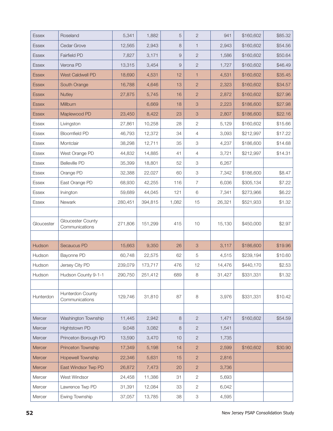| <b>Essex</b> | Roseland                            | 5,341   | 1,882   | 5     | $\overline{2}$            | 941    | \$160,602 | \$85.32 |
|--------------|-------------------------------------|---------|---------|-------|---------------------------|--------|-----------|---------|
| <b>Essex</b> | Cedar Grove                         | 12,565  | 2,943   | 8     | $\mathbf{1}$              | 2,943  | \$160,602 | \$54.56 |
| <b>Essex</b> | Fairfield PD                        | 7,827   | 3,171   | 9     | $\overline{2}$            | 1,586  | \$160,602 | \$50.64 |
| <b>Essex</b> | Verona PD                           | 13,315  | 3,454   | 9     | $\overline{2}$            | 1,727  | \$160,602 | \$46.49 |
| <b>Essex</b> | <b>West Caldwell PD</b>             | 18,690  | 4,531   | 12    | $\mathbf{1}$              | 4,531  | \$160,602 | \$35.45 |
| <b>Essex</b> | South Orange                        | 16,788  | 4,646   | 13    | $\overline{c}$            | 2,323  | \$160,602 | \$34.57 |
| <b>Essex</b> | <b>Nutley</b>                       | 27,875  | 5,745   | 16    | $\overline{c}$            | 2,872  | \$160,602 | \$27.96 |
| <b>Essex</b> | Millburn                            |         | 6,669   | 18    | $\ensuremath{\mathsf{3}}$ | 2,223  | \$186,600 | \$27.98 |
| <b>Essex</b> | Maplewood PD                        | 23,450  | 8,422   | 23    | $\mathcal{S}$             | 2,807  | \$186,600 | \$22.16 |
| <b>Essex</b> | Livingston                          | 27,861  | 10,258  | 28    | $\sqrt{2}$                | 5,129  | \$160,602 | \$15.66 |
| Essex        | <b>Bloomfield PD</b>                | 46,793  | 12,372  | 34    | $\overline{4}$            | 3,093  | \$212,997 | \$17.22 |
| <b>Essex</b> | Montclair                           | 38,298  | 12,711  | 35    | $\ensuremath{\mathsf{3}}$ | 4,237  | \$186,600 | \$14.68 |
| Essex        | West Orange PD                      | 44,832  | 14,885  | 41    | $\overline{4}$            | 3,721  | \$212,997 | \$14.31 |
| <b>Essex</b> | <b>Belleville PD</b>                | 35,399  | 18,801  | 52    | $\ensuremath{\mathsf{3}}$ | 6,267  |           |         |
| Essex        | Orange PD                           | 32,388  | 22,027  | 60    | $\ensuremath{\mathsf{3}}$ | 7,342  | \$186,600 | \$8.47  |
| <b>Essex</b> | East Orange PD                      | 68,930  | 42,255  | 116   | $\overline{7}$            | 6,036  | \$305,134 | \$7.22  |
| Essex        | Irvington                           | 59,689  | 44,045  | 121   | $\,6\,$                   | 7,341  | \$273,966 | \$6.22  |
| <b>Essex</b> | Newark                              | 280,451 | 394,815 | 1,082 | 15                        | 26,321 | \$521,933 | \$1.32  |
|              |                                     |         |         |       |                           |        |           |         |
| Gloucester   | Gloucester County<br>Communications | 271,806 | 151,299 | 415   | $10$                      | 15,130 | \$450,000 | \$2.97  |
|              |                                     |         |         |       |                           |        |           |         |
| Hudson       | Secaucus PD                         | 15,663  | 9,350   | 26    | $\mathcal{S}$             | 3,117  | \$186,600 | \$19.96 |
| Hudson       | Bayonne PD                          | 60,748  | 22,575  | 62    | $\overline{5}$            | 4,515  | \$239,194 | \$10.60 |
| Hudson       | Jersey City PD                      | 239,079 | 173,717 | 476   | 12                        | 14,476 | \$440,170 | \$2.53  |
| Hudson       | Hudson County 9-1-1                 | 290,750 | 251,412 | 689   | $\,8\,$                   | 31,427 | \$331,331 | \$1.32  |
|              |                                     |         |         |       |                           |        |           |         |
| Hunterdon    | Hunterdon County<br>Communications  | 129,746 | 31,810  | 87    | $\,8\,$                   | 3,976  | \$331,331 | \$10.42 |
|              |                                     |         |         |       |                           |        |           |         |
| Mercer       | Washington Township                 | 11,445  | 2,942   | 8     | $\mathbf{2}$              | 1,471  | \$160,602 | \$54.59 |
| Mercer       | Hightstown PD                       | 9,048   | 3,082   | 8     | $\mathbf{2}$              | 1,541  |           |         |
| Mercer       | Princeton Borough PD                | 13,590  | 3,470   | 10    | $\mathbf{2}$              | 1,735  |           |         |
| Mercer       | Princeton Township                  | 17,349  | 5,198   | 14    | $\mathbf{2}$              | 2,599  | \$160,602 | \$30.90 |
| Mercer       | Hopewell Township                   | 22,346  | 5,631   | 15    | $\overline{2}$            | 2,816  |           |         |
| Mercer       | East Windsor Twp PD                 | 26,872  | 7,473   | 20    | $\mathbf{2}$              | 3,736  |           |         |
| Mercer       | West Windsor                        | 24,458  | 11,386  | 31    | $\overline{2}$            | 5,693  |           |         |
| Mercer       | Lawrence Twp PD                     | 31,391  | 12,084  | 33    | $\sqrt{2}$                | 6,042  |           |         |
| Mercer       | Ewing Township                      | 37,057  | 13,785  | 38    | $\ensuremath{\mathsf{3}}$ | 4,595  |           |         |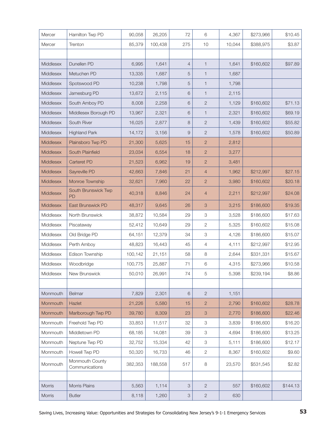| Mercer    | Hamilton Twp PD                   | 90,058  | 26,205  | 72             | 6                         | 4,367  | \$273,966 | \$10.45  |
|-----------|-----------------------------------|---------|---------|----------------|---------------------------|--------|-----------|----------|
| Mercer    | Trenton                           | 85,379  | 100,438 | 275            | 10                        | 10,044 | \$388,975 | \$3.87   |
|           |                                   |         |         |                |                           |        |           |          |
| Middlesex | Dunellen PD                       | 6,995   | 1,641   | $\overline{4}$ | $\mathbf{1}$              | 1,641  | \$160,602 | \$97.89  |
| Middlesex | Metuchen PD                       | 13,335  | 1,687   | 5              | 1                         | 1,687  |           |          |
| Middlesex | Spotswood PD                      | 10,238  | 1,798   | 5              | 1                         | 1,798  |           |          |
| Middlesex | Jamesburg PD                      | 13,672  | 2,115   | 6              | 1                         | 2,115  |           |          |
| Middlesex | South Amboy PD                    | 8,008   | 2,258   | 6              | $\mathbf{2}$              | 1,129  | \$160,602 | \$71.13  |
| Middlesex | Middlesex Borough PD              | 13,967  | 2,321   | 6              | 1                         | 2,321  | \$160,602 | \$69.19  |
| Middlesex | South River                       | 16,025  | 2,877   | 8              | $\overline{2}$            | 1,439  | \$160,602 | \$55.82  |
| Middlesex | <b>Highland Park</b>              | 14,172  | 3,156   | $\overline{9}$ | $\overline{2}$            | 1,578  | \$160,602 | \$50.89  |
| Middlesex | Plainsboro Twp PD                 | 21,300  | 5,625   | 15             | $\overline{c}$            | 2,812  |           |          |
| Middlesex | South Plainfield                  | 23,034  | 6,554   | 18             | $\mathbf{2}$              | 3,277  |           |          |
| Middlesex | Carteret PD                       | 21,523  | 6,962   | 19             | $\overline{c}$            | 3,481  |           |          |
| Middlesex | Sayreville PD                     | 42,663  | 7,846   | 21             | $\overline{4}$            | 1,962  | \$212,997 | \$27.15  |
| Middlesex | Monroe Township                   | 32,621  | 7,960   | 22             | $\overline{c}$            | 3,980  | \$160,602 | \$20.18  |
| Middlesex | South Brunswick Twp<br>PD         | 40,318  | 8,846   | 24             | $\overline{4}$            | 2,211  | \$212,997 | \$24.08  |
| Middlesex | East Brunswick PD                 | 48,317  | 9,645   | 26             | 3                         | 3,215  | \$186,600 | \$19.35  |
| Middlesex | North Brunswick                   | 38,872  | 10,584  | 29             | 3                         | 3,528  | \$186,600 | \$17.63  |
| Middlesex | Piscataway                        | 52,412  | 10,649  | 29             | 2                         | 5,325  | \$160,602 | \$15.08  |
| Middlesex | Old Bridge PD                     | 64,151  | 12,379  | 34             | 3                         | 4,126  | \$186,600 | \$15.07  |
| Middlesex | Perth Amboy                       | 48,823  | 16,443  | 45             | 4                         | 4,111  | \$212,997 | \$12.95  |
| Middlesex | Edison Township                   | 100,142 | 21,151  | 58             | 8                         | 2,644  | \$331,331 | \$15.67  |
| Middlesex | Woodbridge                        | 100,775 | 25,887  | 71             | 6                         | 4,315  | \$273,966 | \$10.58  |
| Middlesex | New Brunswick                     | 50,010  | 26,991  | 74             | 5                         | 5,398  | \$239,194 | \$8.86   |
|           |                                   |         |         |                |                           |        |           |          |
| Monmouth  | Belmar                            | 7,829   | 2,301   | 6              | $\mathbf{2}$              | 1,151  |           |          |
| Monmouth  | Hazlet                            | 21,226  | 5,580   | 15             | $\overline{2}$            | 2,790  | \$160,602 | \$28.78  |
| Monmouth  | Marlborough Twp PD                | 39,780  | 8,309   | 23             | $\ensuremath{\mathsf{3}}$ | 2,770  | \$186,600 | \$22.46  |
| Monmouth  | Freehold Twp PD                   | 33,853  | 11,517  | 32             | $\ensuremath{\mathsf{3}}$ | 3,839  | \$186,600 | \$16.20  |
| Monmouth  | Middletown PD                     | 68,185  | 14,081  | 39             | 3                         | 4,694  | \$186,600 | \$13.25  |
| Monmouth  | Neptune Twp PD                    | 32,752  | 15,334  | 42             | $\ensuremath{\mathsf{3}}$ | 5,111  | \$186,600 | \$12.17  |
| Monmouth  | Howell Twp PD                     | 50,320  | 16,733  | 46             | $\mathbf{2}$              | 8,367  | \$160,602 | \$9.60   |
| Monmouth  | Monmouth County<br>Communications | 382,353 | 188,558 | 517            | 8                         | 23,570 | \$531,545 | \$2.82   |
|           |                                   |         |         |                |                           |        |           |          |
| Morris    | Morris Plains                     | 5,563   | 1,114   | 3              | $\mathbf{2}$              | 557    | \$160,602 | \$144.13 |
| Morris    | <b>Butler</b>                     | 8,118   | 1,260   | 3              | $\sqrt{2}$                | 630    |           |          |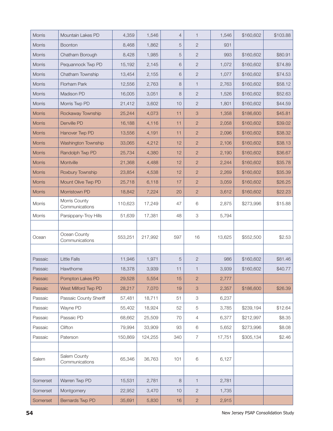| Morris        | Mountain Lakes PD               | 4,359   | 1,546   | $\overline{4}$ | $\mathbf{1}$              | 1,546  | \$160,602 | \$103.88 |
|---------------|---------------------------------|---------|---------|----------------|---------------------------|--------|-----------|----------|
| Morris        | <b>Boonton</b>                  | 8,468   | 1,862   | 5              | $\mathbf{2}$              | 931    |           |          |
| Morris        | Chatham Borough                 | 8,428   | 1,985   | 5              | $\mathbf{2}$              | 993    | \$160,602 | \$80.91  |
| Morris        | Pequannock Twp PD               | 15,192  | 2,145   | 6              | $\overline{2}$            | 1,072  | \$160,602 | \$74.89  |
| Morris        | Chatham Township                | 13,454  | 2,155   | 6              | $\mathbf{2}$              | 1,077  | \$160,602 | \$74.53  |
| Morris        | Florham Park                    | 12,556  | 2,763   | 8              | $\mathbf{1}$              | 2,763  | \$160,602 | \$58.12  |
| Morris        | Madison PD                      | 16,005  | 3,051   | 8              | $\mathbf{2}$              | 1,526  | \$160,602 | \$52.63  |
| Morris        | Morris Twp PD                   | 21,412  | 3,602   | 10             | $\overline{2}$            | 1,801  | \$160,602 | \$44.59  |
| <b>Morris</b> | Rockaway Township               | 25,244  | 4,073   | 11             | $\ensuremath{\mathsf{3}}$ | 1,358  | \$186,600 | \$45.81  |
| <b>Morris</b> | Denville PD                     | 16,188  | 4,116   | 11             | $\overline{2}$            | 2,058  | \$160,602 | \$39.02  |
| <b>Morris</b> | Hanover Twp PD                  | 13,556  | 4,191   | 11             | $\overline{2}$            | 2,096  | \$160,602 | \$38.32  |
| <b>Morris</b> | Washington Township             | 33,065  | 4,212   | 12             | $\overline{2}$            | 2,106  | \$160,602 | \$38.13  |
| Morris        | Randolph Twp PD                 | 25,734  | 4,380   | 12             | $\overline{2}$            | 2,190  | \$160,602 | \$36.67  |
| <b>Morris</b> | Montville                       | 21,368  | 4,488   | 12             | $\overline{2}$            | 2,244  | \$160,602 | \$35.78  |
| Morris        | Roxbury Township                | 23,854  | 4,538   | 12             | $\overline{2}$            | 2,269  | \$160,602 | \$35.39  |
| <b>Morris</b> | Mount Olive Twp PD              | 25,718  | 6,118   | 17             | $\overline{2}$            | 3,059  | \$160,602 | \$26.25  |
| Morris        | Morristown PD                   | 18,842  | 7,224   | 20             | $\overline{2}$            | 3,612  | \$160,602 | \$22.23  |
| Morris        | Morris County<br>Communications | 110,623 | 17,249  | 47             | 6                         | 2,875  | \$273,996 | \$15.88  |
| Morris        | Parsippany-Troy Hills           | 51,639  | 17,381  | 48             | $\ensuremath{\mathsf{3}}$ | 5,794  |           |          |
|               |                                 |         |         |                |                           |        |           |          |
| Ocean         | Ocean County<br>Communications  | 553,251 | 217,992 | 597            | 16                        | 13,625 | \$552,500 | \$2.53   |
|               |                                 |         |         |                |                           |        |           |          |
| Passaic       | <b>Little Falls</b>             | 11,946  | 1,971   | 5              | $\sqrt{2}$                | 986    | \$160,602 | \$81.46  |
| Passaic       | Hawthorne                       | 18,378  | 3,939   | 11             | $\mathbf{1}$              | 3,939  | \$160,602 | \$40.77  |
| Passaic       | Pompton Lakes PD                | 29,528  | 5,554   | 15             | $\overline{2}$            | 2,777  |           |          |
| Passaic       | West Milford Twp PD             | 28,217  | 7,070   | 19             | $\ensuremath{\mathsf{3}}$ | 2,357  | \$186,600 | \$26.39  |
| Passaic       | Passaic County Sheriff          | 57,481  | 18,711  | 51             | 3                         | 6,237  |           |          |
| Passaic       | Wayne PD                        | 55,402  | 18,924  | 52             | $\mathbf 5$               | 3,785  | \$239,194 | \$12.64  |
| Passaic       | Passaic PD                      | 68,662  | 25,509  | 70             | $\overline{4}$            | 6,377  | \$212,997 | \$8.35   |
| Passaic       | Clifton                         | 79,994  | 33,909  | 93             | 6                         | 5,652  | \$273,996 | \$8.08   |
| Passaic       | Paterson                        | 150,869 | 124,255 | 340            | $\overline{7}$            | 17,751 | \$305,134 | \$2.46   |
|               |                                 |         |         |                |                           |        |           |          |
| Salem         | Salem County<br>Communications  | 65,346  | 36,763  | 101            | $\,6$                     | 6,127  |           |          |
|               |                                 |         |         |                |                           |        |           |          |
| Somerset      | Warren Twp PD                   | 15,531  | 2,781   | 8              | $\mathbf{1}$              | 2,781  |           |          |
| Somerset      | Montgomery                      | 22,952  | 3,470   | 10             | $\sqrt{2}$                | 1,735  |           |          |
| Somerset      | Bernards Twp PD                 | 35,691  | 5,830   | 16             | $\sqrt{2}$                | 2,915  |           |          |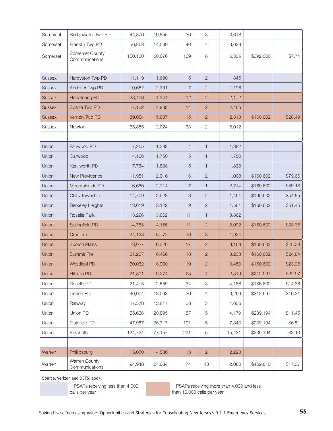| Somerset      | Bridgewater Twp PD                | 44,370  | 10,855 | 30             | 3                         | 3,618  |           |         |
|---------------|-----------------------------------|---------|--------|----------------|---------------------------|--------|-----------|---------|
| Somerset      | Franklin Twp PD                   | 56,863  | 14,530 | 40             | 4                         | 3,633  |           |         |
| Somerset      | Somerset County<br>Communications | 150,130 | 50,676 | 139            | 8                         | 6,335  | \$392,000 | \$7.74  |
|               |                                   |         |        |                |                           |        |           |         |
| <b>Sussex</b> | Hardyston Twp PD                  | 11,119  | 1,690  | 5              | $\overline{c}$            | 845    |           |         |
| <b>Sussex</b> | Andover Twp PD                    | 10,652  | 2,391  | $\overline{7}$ | $\overline{2}$            | 1,196  |           |         |
| <b>Sussex</b> | <b>Hopatcong PD</b>               | 28,406  | 4,344  | 12             | $\overline{2}$            | 2,172  |           |         |
| <b>Sussex</b> | Sparta Twp PD                     | 27,132  | 4,932  | 14             | $\overline{2}$            | 2,466  |           |         |
| <b>Sussex</b> | Vernon Twp PD                     | 39,054  | 5,637  | 15             | $\overline{2}$            | 2,818  | \$160,602 | \$28.49 |
| <b>Sussex</b> | Newton                            | 35,855  | 12,024 | 33             | 2                         | 6,012  |           |         |
|               |                                   |         |        |                |                           |        |           |         |
| Union         | Fanwood PD                        | 7,255   | 1,382  | $\overline{4}$ | $\mathbf{1}$              | 1,382  |           |         |
| Union         | Garwood                           | 4,166   | 1,750  | 5              | $\mathbf{1}$              | 1,750  |           |         |
| Union         | Kenilworth PD                     | 7,764   | 1,838  | 5              | $\mathbf{1}$              | 1,838  |           |         |
| Union         | New Providence                    | 11,981  | 2,016  | 6              | $\overline{2}$            | 1,008  | \$160,602 | \$79.66 |
| Union         | Mountainside PD                   | 6,660   | 2,714  | $\overline{7}$ | $\mathbf{1}$              | 2,714  | \$160,602 | \$59.18 |
| Union         | Clark Township                    | 14,709  | 2,928  | 8              | $\overline{2}$            | 1,464  | \$160,602 | \$54.85 |
| Union         | <b>Berkeley Heights</b>           | 13,619  | 3,122  | $\overline{9}$ | $\overline{2}$            | 1,561  | \$160,602 | \$51.45 |
| Union         | Roselle Park                      | 13,296  | 3,862  | 11             | $\mathbf{1}$              | 3,862  |           |         |
| Union         | Springfield PD                    | 14,788  | 4,185  | 11             | $\mathbf{2}$              | 2,092  | \$160,602 | \$38.38 |
| Union         | Cranford                          | 24,128  | 5,772  | 16             | $\ensuremath{\mathsf{3}}$ | 1,924  |           |         |
| Union         | <b>Scotch Plains</b>              | 23,027  | 6,326  | 17             | $\mathbf{2}$              | 3,163  | \$160,602 | \$25.39 |
| Union         | <b>Summit Fire</b>                | 21,267  | 6,466  | 18             | $\overline{2}$            | 3,233  | \$160,602 | \$24.84 |
| Union         | <b>Westfield PD</b>               | 30,062  | 6,900  | 19             | $\overline{c}$            | 3,450  | \$160,602 | \$23.28 |
| Union         | Hillside PD                       | 21,891  | 9,274  | 25             | $\overline{4}$            | 2,319  | \$212,997 | \$22.97 |
| Union         | Roselle PD                        | 21,415  | 12,559 | 34             | $\ensuremath{\mathsf{3}}$ | 4,186  | \$186,600 | \$14.86 |
| Union         | Linden PD                         | 40,004  | 13,063 | 36             | $\overline{4}$            | 3,266  | \$212,997 | \$16.31 |
| Union         | Rahway                            | 27,578  | 13,817 | 38             | 3                         | 4,606  |           |         |
| Union         | Union PD                          | 55,636  | 20,895 | 57             | 5                         | 4,179  | \$239,194 | \$11.45 |
| Union         | Plainfield PD                     | 47,987  | 36,717 | 101            | 5                         | 7,343  | \$239,194 | \$6.51  |
| Union         | Elizabeth                         | 124,724 | 77,157 | 211            | 5                         | 15,431 | \$239,194 | \$3.10  |
|               |                                   |         |        |                |                           |        |           |         |
| Warren        | Phillipsburg                      | 15,070  | 4,586  | 13             | $\overline{2}$            | 2,293  |           |         |
| Warren        | Warren County<br>Communications   | 94,948  | 27,034 | 74             | 13                        | 2,080  | \$469,610 | \$17.37 |

Source: Verizon and OETS, 2005.

= PSAPs receiving less than 4,000 calls per year

= PSAPs receiving more than 4,000 and less than 10,000 calls per year